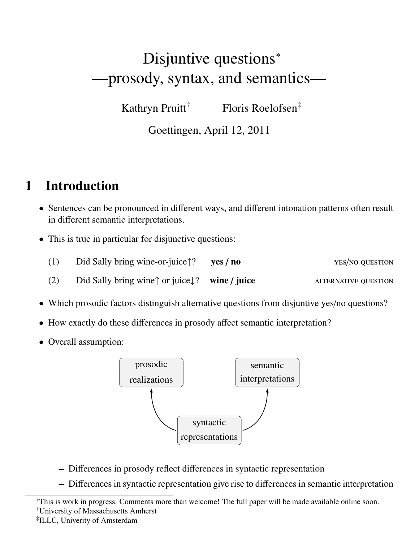# Disjuntive questions<sup>\*</sup> —prosody, syntax, and semantics—

Kathryn Pruitt† Floris Roelofsen‡

Goettingen, April 12, 2011

## 1 Introduction

- Sentences can be pronounced in different ways, and different intonation patterns often result in different semantic interpretations.
- This is true in particular for disjunctive questions:
	- (1) Did Sally bring wine-or-juice↑? yes / no yes/no question
	- (2) Did Sally bring wine↑ or juice $\downarrow$ ? wine / juice  $\downarrow$  alternative question
- Which prosodic factors distinguish alternative questions from disjuntive yes/no questions?
- How exactly do these differences in prosody affect semantic interpretation?
- Overall assumption:



- Differences in prosody reflect differences in syntactic representation
- Differences in syntactic representation give rise to differences in semantic interpretation

†University of Massachusetts Amherst

<sup>∗</sup>This is work in progress. Comments more than welcome! The full paper will be made available online soon.

<sup>‡</sup> ILLC, Univerity of Amsterdam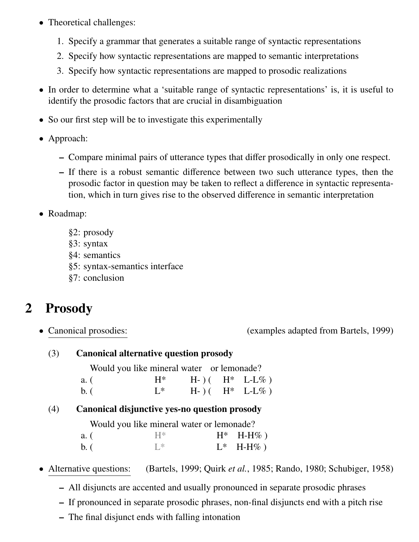- Theoretical challenges:
	- 1. Specify a grammar that generates a suitable range of syntactic representations
	- 2. Specify how syntactic representations are mapped to semantic interpretations
	- 3. Specify how syntactic representations are mapped to prosodic realizations
- In order to determine what a 'suitable range of syntactic representations' is, it is useful to identify the prosodic factors that are crucial in disambiguation
- So our first step will be to investigate this experimentally
- Approach:
	- Compare minimal pairs of utterance types that differ prosodically in only one respect.
	- If there is a robust semantic difference between two such utterance types, then the prosodic factor in question may be taken to reflect a difference in syntactic representation, which in turn gives rise to the observed difference in semantic interpretation
- Roadmap:
	- §2: prosody
	- §3: syntax
	- §4: semantics
	- §5: syntax-semantics interface
	- §7: conclusion

## 2 Prosody

• Canonical prosodies: (examples adapted from Bartels, 1999)

#### (3) Canonical alternative question prosody

Would you like mineral water or lemonade?

| a. (                        | $\rm H^*$ |  | $H-)($ $H^*$ L-L%) |
|-----------------------------|-----------|--|--------------------|
| $\mathbf{b}$ . $\mathbf{c}$ | $L^*$     |  | $H-)($ $H^*$ L-L%) |

#### (4) Canonical disjunctive yes-no question prosody

Would you like mineral water or lemonade?

| a. (   | $H^*$          | $H^*$ H-H%) |
|--------|----------------|-------------|
| $b.$ ( | $\mathbb{R}^*$ | $L^*$ H-H%) |

- Alternative questions: (Bartels, 1999; Quirk *et al.*, 1985; Rando, 1980; Schubiger, 1958)
	- All disjuncts are accented and usually pronounced in separate prosodic phrases
	- If pronounced in separate prosodic phrases, non-final disjuncts end with a pitch rise
	- The final disjunct ends with falling intonation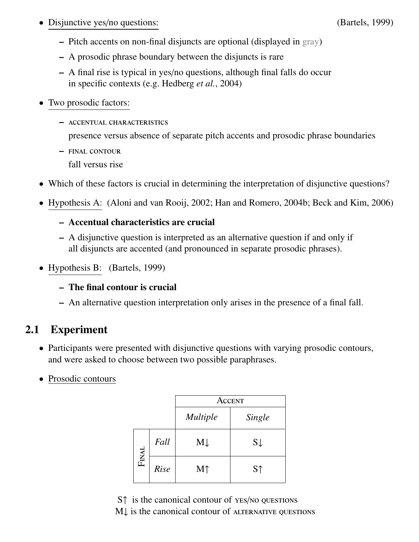• Disjunctive yes/no questions: (Bartels, 1999)

- Pitch accents on non-final disjuncts are optional (displayed in gray)
- A prosodic phrase boundary between the disjuncts is rare
- A final rise is typical in yes/no questions, although final falls do occur in specific contexts (e.g. Hedberg *et al.*, 2004)
- Two prosodic factors:
	- accentual characteristics presence versus absence of separate pitch accents and prosodic phrase boundaries
	- final contour fall versus rise
- Which of these factors is crucial in determining the interpretation of disjunctive questions?
- Hypothesis A: (Aloni and van Rooij, 2002; Han and Romero, 2004b; Beck and Kim, 2006)
	- Accentual characteristics are crucial
	- A disjunctive question is interpreted as an alternative question if and only if all disjuncts are accented (and pronounced in separate prosodic phrases).
- Hypothesis B: (Bartels, 1999)
	- The final contour is crucial
	- An alternative question interpretation only arises in the presence of a final fall.

### 2.1 Experiment

- Participants were presented with disjunctive questions with varying prosodic contours, and were asked to choose between two possible paraphrases.
- Prosodic contours

|              |      | Accent          |                |  |
|--------------|------|-----------------|----------------|--|
|              |      | <i>Multiple</i> | Single         |  |
|              | Fall | $M\downarrow$   | $S \downarrow$ |  |
| <b>FINAL</b> | Rise | M <sub>1</sub>  | S <sub>1</sub> |  |

S↑ is the canonical contour of YES/NO QUESTIONS M↓ is the canonical contour of ALTERNATIVE QUESTIONS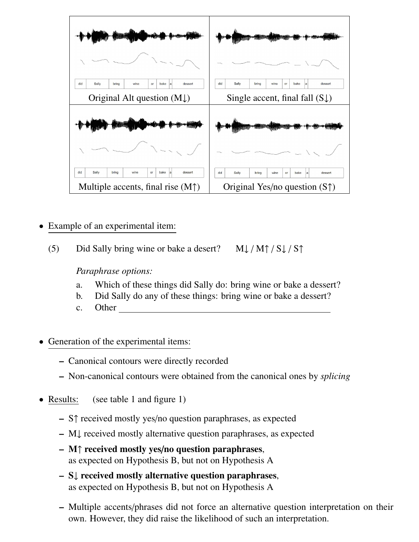

- Example of an experimental item:
	- (5) Did Sally bring wine or bake a desert?  $M\downarrow/M\uparrow/S\downarrow/S\uparrow$

*Paraphrase options:*

- a. Which of these things did Sally do: bring wine or bake a dessert?
- b. Did Sally do any of these things: bring wine or bake a dessert?
- c. Other
- Generation of the experimental items:
	- Canonical contours were directly recorded
	- Non-canonical contours were obtained from the canonical ones by *splicing*
- Results: (see table 1 and figure 1)
	- S↑ received mostly yes/no question paraphrases, as expected
	- M↓ received mostly alternative question paraphrases, as expected
	- M↑ received mostly yes/no question paraphrases, as expected on Hypothesis B, but not on Hypothesis A
	- S↓ received mostly alternative question paraphrases, as expected on Hypothesis B, but not on Hypothesis A
	- Multiple accents/phrases did not force an alternative question interpretation on their own. However, they did raise the likelihood of such an interpretation.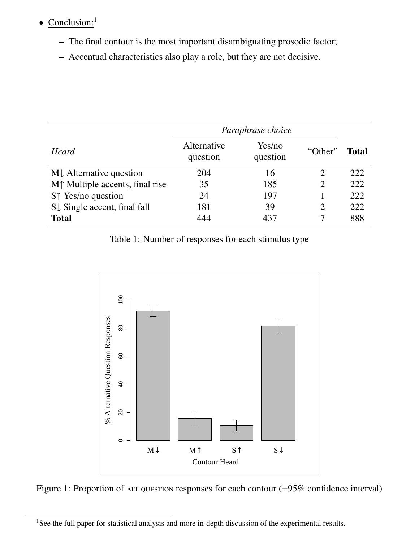## • Conclusion:<sup>1</sup>

- The final contour is the most important disambiguating prosodic factor;
- Accentual characteristics also play a role, but they are not decisive.

|                                         | Paraphrase choice       |                    |         |       |
|-----------------------------------------|-------------------------|--------------------|---------|-------|
| Heard                                   | Alternative<br>question | Yes/no<br>question | "Other" | Total |
| MJ Alternative question                 | 204                     | 16                 | 2       | 222   |
| $M†$ Multiple accents, final rise       | 35                      | 185                | 2       | 222   |
| S <sup>†</sup> Yes/no question          | 24                      | 197                |         | 222   |
| $S\downarrow$ Single accent, final fall | 181                     | 39                 | 2       | 222   |
| <b>Total</b>                            | 444                     | 437                |         | 888   |

Table 1: Number of responses for each stimulus type



Figure 1: Proportion of ALT QUESTION responses for each contour  $(\pm 95\%$  confidence interval)

<sup>&</sup>lt;sup>1</sup>See the full paper for statistical analysis and more in-depth discussion of the experimental results.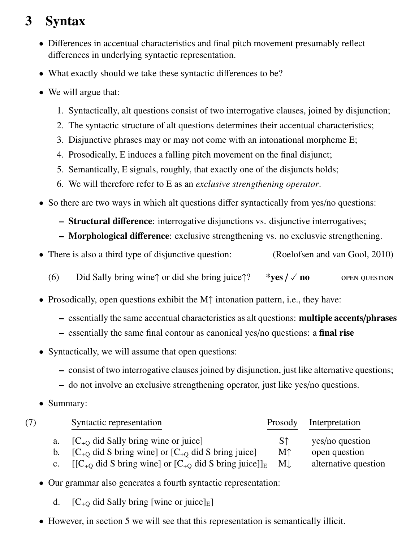## 3 Syntax

- Differences in accentual characteristics and final pitch movement presumably reflect differences in underlying syntactic representation.
- What exactly should we take these syntactic differences to be?
- We will argue that:
	- 1. Syntactically, alt questions consist of two interrogative clauses, joined by disjunction;
	- 2. The syntactic structure of alt questions determines their accentual characteristics;
	- 3. Disjunctive phrases may or may not come with an intonational morpheme E;
	- 4. Prosodically, E induces a falling pitch movement on the final disjunct;
	- 5. Semantically, E signals, roughly, that exactly one of the disjuncts holds;
	- 6. We will therefore refer to E as an *exclusive strengthening operator*.
- So there are two ways in which alt questions differ syntactically from yes/no questions:
	- Structural difference: interrogative disjunctions vs. disjunctive interrogatives;
	- Morphological difference: exclusive strengthening vs. no exclusvie strengthening.
- There is also a third type of disjunctive question: (Roelofsen and van Gool, 2010)
	- (6) Did Sally bring wine↑ or did she bring juice↑? \*yes  $\ell \vee$  no open question
- Prosodically, open questions exhibit the M↑ intonation pattern, i.e., they have:
	- essentially the same accentual characteristics as alt questions: multiple accents/phrases
	- essentially the same final contour as canonical yes/no questions: a final rise
- Syntactically, we will assume that open questions:
	- consist of two interrogative clauses joined by disjunction, just like alternative questions;
	- do not involve an exclusive strengthening operator, just like yes/no questions.
- Summary:

| (7) |    | Syntactic representation                                                                             | Prosody        | Interpretation       |
|-----|----|------------------------------------------------------------------------------------------------------|----------------|----------------------|
|     |    | $[C_{+Q}$ did Sally bring wine or juice]                                                             | S <sub>↑</sub> | yes/no question      |
|     | b. | $[C_{+0}$ did S bring wine] or $[C_{+0}$ did S bring juice]                                          | M <sub>1</sub> | open question        |
|     |    | c. $[[C_{+0} \text{ did } S \text{ bring wine}]$ or $[C_{+0} \text{ did } S \text{ bring juice}]]_E$ | M              | alternative question |

- Our grammar also generates a fourth syntactic representation:
	- d.  $[C_{+O}$  did Sally bring [wine or juice]<sub>E</sub>]
- However, in section 5 we will see that this representation is semantically illicit.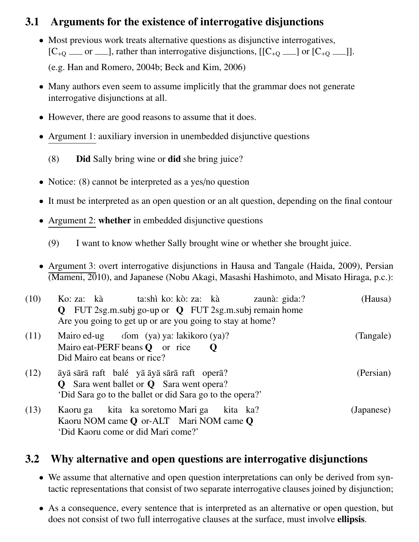### 3.1 Arguments for the existence of interrogative disjunctions

- Most previous work treats alternative questions as disjunctive interrogatives,  $[C_{+Q} \quad \text{or} \quad \text{and} \quad]$ , rather than interrogative disjunctions,  $[[C_{+Q} \quad \text{and} \quad C_{+Q} \quad \text{and} \quad]$ . (e.g. Han and Romero, 2004b; Beck and Kim, 2006)
- Many authors even seem to assume implicitly that the grammar does not generate interrogative disjunctions at all.
- However, there are good reasons to assume that it does.
- Argument 1: auxiliary inversion in unembedded disjunctive questions
	- (8) Did Sally bring wine or did she bring juice?
- Notice: (8) cannot be interpreted as a yes/no question
- It must be interpreted as an open question or an alt question, depending on the final contour
- Argument 2: whether in embedded disjunctive questions
	- (9) I want to know whether Sally brought wine or whether she brought juice.
- Argument 3: overt interrogative disjunctions in Hausa and Tangale (Haida, 2009), Persian (Mameni, 2010), and Japanese (Nobu Akagi, Masashi Hashimoto, and Misato Hiraga, p.c.):

| (10) | ta:shì ko: kò: za:   kà<br>Ko: za: kà<br>zaunà: gida:?<br>$Q$ FUT 2sg.m.subj go-up or $Q$ FUT 2sg.m.subj remain home<br>Are you going to get up or are you going to stay at home? | (Hausa)    |
|------|-----------------------------------------------------------------------------------------------------------------------------------------------------------------------------------|------------|
| (11) | Mairo ed-ug $\qquad$ dom (ya) ya: lakikoro (ya)?<br>Mairo eat-PERF beans <b>Q</b> or rice<br>$\mathbf 0$<br>Did Mairo eat beans or rice?                                          | (Tangale)  |
| (12) | āyā sārā raft balé yā āyā sārā raft operā?<br><b>Q</b> Sara went ballet or <b>Q</b> Sara went opera?<br>'Did Sara go to the ballet or did Sara go to the opera?'                  | (Persian)  |
| (13) | Kaoru ga kita ka soretomo Mari ga kita ka?<br>Kaoru NOM came Q or-ALT Mari NOM came Q<br>'Did Kaoru come or did Mari come?'                                                       | (Japanese) |

### 3.2 Why alternative and open questions are interrogative disjunctions

- We assume that alternative and open question interpretations can only be derived from syntactic representations that consist of two separate interrogative clauses joined by disjunction;
- As a consequence, every sentence that is interpreted as an alternative or open question, but does not consist of two full interrogative clauses at the surface, must involve ellipsis.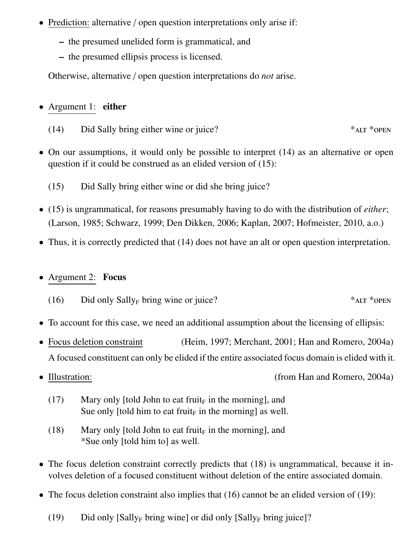- Prediction: alternative / open question interpretations only arise if:
	- the presumed unelided form is grammatical, and
	- the presumed ellipsis process is licensed.

Otherwise, alternative / open question interpretations do *not* arise.

#### • Argument 1: either

- (14) Did Sally bring either wine or juice?  $*<sub>ALT</sub> *<sub>OPEN</sub>$
- On our assumptions, it would only be possible to interpret (14) as an alternative or open question if it could be construed as an elided version of (15):
	- (15) Did Sally bring either wine or did she bring juice?
- (15) is ungrammatical, for reasons presumably having to do with the distribution of *either*; (Larson, 1985; Schwarz, 1999; Den Dikken, 2006; Kaplan, 2007; Hofmeister, 2010, a.o.)
- Thus, it is correctly predicted that (14) does not have an alt or open question interpretation.

#### • Argument 2: Focus

- (16) Did only Sally<sub>F</sub> bring wine or juice?  $*<sub>ALT</sub> * <sub>OPEN</sub>$
- To account for this case, we need an additional assumption about the licensing of ellipsis:
- Focus deletion constraint (Heim, 1997; Merchant, 2001; Han and Romero, 2004a) A focused constituent can only be elided if the entire associated focus domain is elided with it.
- 

• Illustration: (from Han and Romero, 2004a)

- (17) Mary only [told John to eat fruit<sub>F</sub> in the morning], and Sue only [told him to eat fruit<sub>F</sub> in the morning] as well.
- (18) Mary only [told John to eat fruit<sub>F</sub> in the morning], and \*Sue only [told him to] as well.
- The focus deletion constraint correctly predicts that (18) is ungrammatical, because it involves deletion of a focused constituent without deletion of the entire associated domain.
- The focus deletion constraint also implies that (16) cannot be an elided version of (19):
	- (19) Did only  $[Sally_F]$  bring wine] or did only  $[Sally_F]$  bring juice]?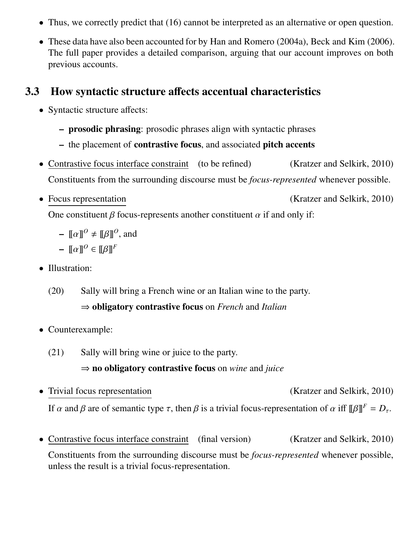- Thus, we correctly predict that (16) cannot be interpreted as an alternative or open question.
- These data have also been accounted for by Han and Romero (2004a), Beck and Kim (2006). The full paper provides a detailed comparison, arguing that our account improves on both previous accounts.

#### 3.3 How syntactic structure affects accentual characteristics

- Syntactic structure affects:
	- prosodic phrasing: prosodic phrases align with syntactic phrases
	- the placement of contrastive focus, and associated pitch accents
- Contrastive focus interface constraint (to be refined) (Kratzer and Selkirk, 2010) Constituents from the surrounding discourse must be *focus-represented* whenever possible.
- Focus representation (Kratzer and Selkirk, 2010)

One constituent  $\beta$  focus-represents another constituent  $\alpha$  if and only if:

 $\mathbf{I} = \llbracket \alpha \rrbracket^0 \neq \llbracket \beta \rrbracket^0$ , and

$$
- \llbracket \alpha \rrbracket^0 \in \llbracket \beta \rrbracket^F
$$

- Illustration:
	- (20) Sally will bring a French wine or an Italian wine to the party. ⇒ obligatory contrastive focus on *French* and *Italian*
- Counterexample:
	- (21) Sally will bring wine or juice to the party.

#### ⇒ no obligatory contrastive focus on *wine* and *juice*

- Trivial focus representation (Kratzer and Selkirk, 2010) If  $\alpha$  and  $\beta$  are of semantic type  $\tau$ , then  $\beta$  is a trivial focus-representation of  $\alpha$  iff  $[\![\beta]\!]^F = D_{\tau}$ .
- Contrastive focus interface constraint (final version) (Kratzer and Selkirk, 2010) Constituents from the surrounding discourse must be *focus-represented* whenever possible, unless the result is a trivial focus-representation.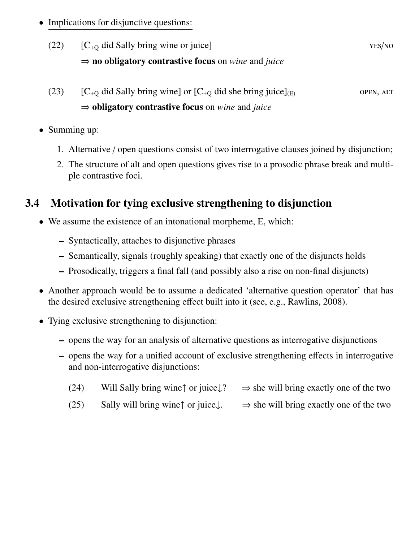- Implications for disjunctive questions:
	- (22)  $[C_{+O}$  did Sally bring wine or juice] yes/no ⇒ no obligatory contrastive focus on *wine* and *juice*
	- (23)  $[C_{+O}$  did Sally bring wine] or  $[C_{+O}$  did she bring juice]<sub>(E)</sub> open, ALT ⇒ obligatory contrastive focus on *wine* and *juice*
- Summing up:
	- 1. Alternative / open questions consist of two interrogative clauses joined by disjunction;
	- 2. The structure of alt and open questions gives rise to a prosodic phrase break and multiple contrastive foci.

### 3.4 Motivation for tying exclusive strengthening to disjunction

- We assume the existence of an intonational morpheme, E, which:
	- Syntactically, attaches to disjunctive phrases
	- Semantically, signals (roughly speaking) that exactly one of the disjuncts holds
	- Prosodically, triggers a final fall (and possibly also a rise on non-final disjuncts)
- Another approach would be to assume a dedicated 'alternative question operator' that has the desired exclusive strengthening effect built into it (see, e.g., Rawlins, 2008).
- Tying exclusive strengthening to disjunction:
	- opens the way for an analysis of alternative questions as interrogative disjunctions
	- opens the way for a unified account of exclusive strengthening effects in interrogative and non-interrogative disjunctions:
		- (24) Will Sally bring wine↑ or juice $\downarrow$ ?  $\Rightarrow$  she will bring exactly one of the two
		- (25) Sally will bring wine↑ or juice $\downarrow$ .  $\Rightarrow$  she will bring exactly one of the two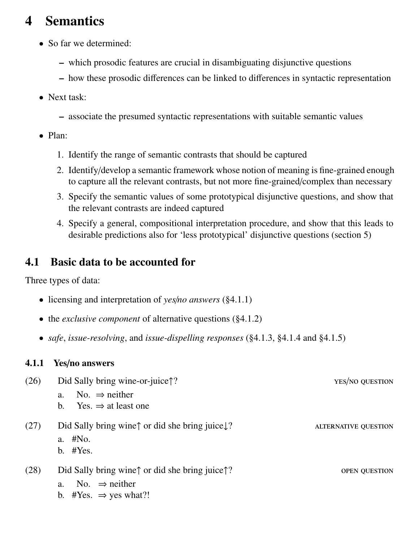## 4 Semantics

- So far we determined:
	- which prosodic features are crucial in disambiguating disjunctive questions
	- how these prosodic differences can be linked to differences in syntactic representation
- Next task:
	- associate the presumed syntactic representations with suitable semantic values
- Plan:
	- 1. Identify the range of semantic contrasts that should be captured
	- 2. Identify/develop a semantic framework whose notion of meaning is fine-grained enough to capture all the relevant contrasts, but not more fine-grained/complex than necessary
	- 3. Specify the semantic values of some prototypical disjunctive questions, and show that the relevant contrasts are indeed captured
	- 4. Specify a general, compositional interpretation procedure, and show that this leads to desirable predictions also for 'less prototypical' disjunctive questions (section 5)

### 4.1 Basic data to be accounted for

Three types of data:

- licensing and interpretation of *yes*/*no answers* (§4.1.1)
- the *exclusive component* of alternative questions (§4.1.2)
- *safe*, *issue-resolving*, and *issue-dispelling responses* (§4.1.3, §4.1.4 and §4.1.5)

#### 4.1.1 Yes/no answers

| (26) | Did Sally bring wine-or-juice??                                                                                                             | YES/NO QUESTION             |
|------|---------------------------------------------------------------------------------------------------------------------------------------------|-----------------------------|
|      | No. $\Rightarrow$ neither<br>a.                                                                                                             |                             |
|      | Yes. $\Rightarrow$ at least one<br>$b_{1}$                                                                                                  |                             |
| (27) | Did Sally bring wine $\uparrow$ or did she bring juice $\downarrow$ ?<br>a. #No.<br>b. $#Yes.$                                              | <b>ALTERNATIVE QUESTION</b> |
| (28) | Did Sally bring wine $\uparrow$ or did she bring juice $\uparrow$ ?<br>No. $\Rightarrow$ neither<br>a.<br>b. #Yes. $\Rightarrow$ yes what?! | <b>OPEN QUESTION</b>        |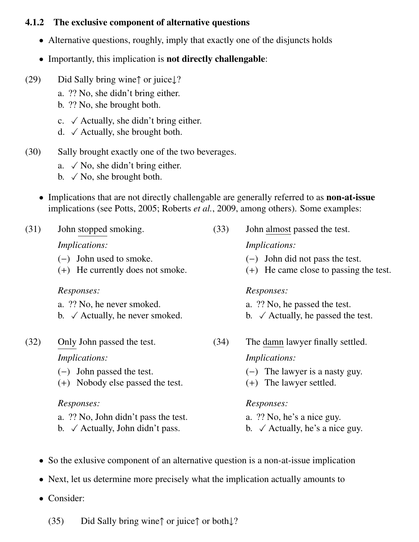#### 4.1.2 The exclusive component of alternative questions

- Alternative questions, roughly, imply that exactly one of the disjuncts holds
- Importantly, this implication is **not directly challengable**:
- (29) Did Sally bring wine↑ or juice↓?
	- a. ?? No, she didn't bring either.
	- b. ?? No, she brought both.
	- c.  $\checkmark$  Actually, she didn't bring either.
	- d.  $\checkmark$  Actually, she brought both.
- (30) Sally brought exactly one of the two beverages.
	- a.  $\checkmark$  No, she didn't bring either.
	- b.  $\checkmark$  No, she brought both.
	- Implications that are not directly challengable are generally referred to as **non-at-issue** implications (see Potts, 2005; Roberts *et al.*, 2009, among others). Some examples:

| (31) | John stopped smoking.                                         | (33) | John almost passed the test.                                                  |  |
|------|---------------------------------------------------------------|------|-------------------------------------------------------------------------------|--|
|      | <i>Implications:</i>                                          |      | <i>Implications:</i>                                                          |  |
|      | $(-)$ John used to smoke.<br>(+) He currently does not smoke. |      | $(-)$ John did not pass the test.<br>$(+)$ He came close to passing the test. |  |
|      | Responses:                                                    |      | Responses:                                                                    |  |
|      | a. ?? No, he never smoked.                                    |      | a. ?? No, he passed the test.                                                 |  |
|      | b. $\checkmark$ Actually, he never smoked.                    |      | b. $\checkmark$ Actually, he passed the test.                                 |  |
| (32) | Only John passed the test.                                    | (34) | The damn lawyer finally settled.                                              |  |
|      | <i>Implications:</i>                                          |      | <i>Implications:</i>                                                          |  |
|      | $(-)$ John passed the test.                                   |      | $(-)$ The lawyer is a nasty guy.                                              |  |
|      | Nobody else passed the test.<br>$(+)$                         |      | The lawyer settled.<br>$(+)$                                                  |  |
|      | Responses:                                                    |      | Responses:                                                                    |  |
|      | a. ?? No, John didn't pass the test.                          |      | a. ?? No, he's a nice guy.                                                    |  |
|      | b. $\checkmark$ Actually, John didn't pass.                   |      | b. $\checkmark$ Actually, he's a nice guy.                                    |  |
|      |                                                               |      |                                                                               |  |

- So the exlusive component of an alternative question is a non-at-issue implication
- Next, let us determine more precisely what the implication actually amounts to
- Consider:
	- (35) Did Sally bring wine↑ or juice↑ or both↓?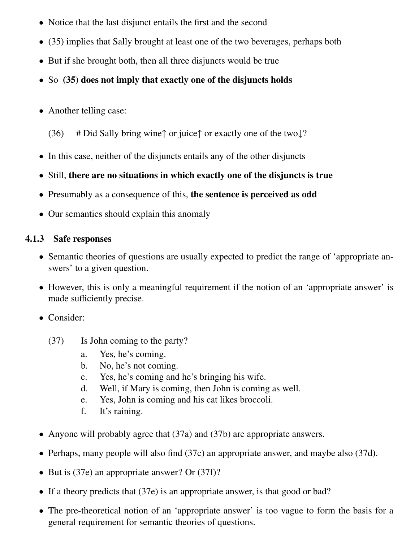- Notice that the last disjunct entails the first and the second
- (35) implies that Sally brought at least one of the two beverages, perhaps both
- But if she brought both, then all three disjuncts would be true
- So (35) does not imply that exactly one of the disjuncts holds
- Another telling case:
	- (36) # Did Sally bring wine↑ or juice↑ or exactly one of the two $\downarrow$ ?
- In this case, neither of the disjuncts entails any of the other disjuncts
- Still, there are no situations in which exactly one of the disjuncts is true
- Presumably as a consequence of this, the sentence is perceived as odd
- Our semantics should explain this anomaly

#### 4.1.3 Safe responses

- Semantic theories of questions are usually expected to predict the range of 'appropriate answers' to a given question.
- However, this is only a meaningful requirement if the notion of an 'appropriate answer' is made sufficiently precise.
- Consider:
	- (37) Is John coming to the party?
		- a. Yes, he's coming.
		- b. No, he's not coming.
		- c. Yes, he's coming and he's bringing his wife.
		- d. Well, if Mary is coming, then John is coming as well.
		- e. Yes, John is coming and his cat likes broccoli.
		- f. It's raining.
- Anyone will probably agree that (37a) and (37b) are appropriate answers.
- Perhaps, many people will also find (37c) an appropriate answer, and maybe also (37d).
- But is (37e) an appropriate answer? Or (37f)?
- If a theory predicts that (37e) is an appropriate answer, is that good or bad?
- The pre-theoretical notion of an 'appropriate answer' is too vague to form the basis for a general requirement for semantic theories of questions.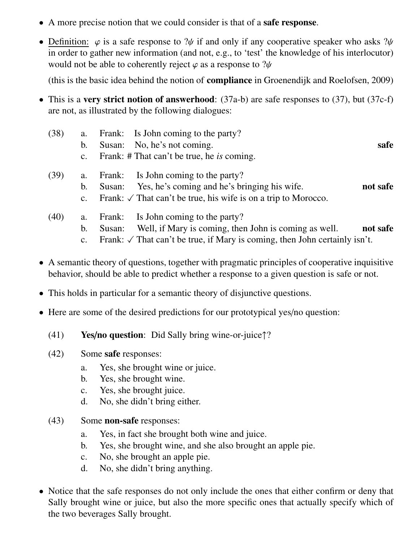- A more precise notion that we could consider is that of a **safe response**.
- Definition:  $\varphi$  is a safe response to ? $\psi$  if and only if any cooperative speaker who asks ? $\psi$ in order to gather new information (and not, e.g., to 'test' the knowledge of his interlocutor) would not be able to coherently reject  $\varphi$  as a response to ? $\psi$

(this is the basic idea behind the notion of compliance in Groenendijk and Roelofsen, 2009)

- This is a very strict notion of answerhood:  $(37a-b)$  are safe responses to  $(37)$ , but  $(37c-f)$ are not, as illustrated by the following dialogues:
	- (38) a. Frank: Is John coming to the party? b. Susan: No, he's not coming. safe c. Frank: # That can't be true, he *is* coming. (39) a. Frank: Is John coming to the party? b. Susan: Yes, he's coming and he's bringing his wife. not safe c. Frank:  $\sqrt{\ }$  That can't be true, his wife is on a trip to Morocco. (40) a. Frank: Is John coming to the party?
		- b. Susan: Well, if Mary is coming, then John is coming as well. not safe
			- c. Frank:  $\sqrt{\ }$  That can't be true, if Mary is coming, then John certainly isn't.
- A semantic theory of questions, together with pragmatic principles of cooperative inquisitive behavior, should be able to predict whether a response to a given question is safe or not.
- This holds in particular for a semantic theory of disjunctive questions.
- Here are some of the desired predictions for our prototypical yes/no question:
	- (41) **Yes/no question:** Did Sally bring wine-or-juice $\uparrow$ ?
	- (42) Some safe responses:
		- a. Yes, she brought wine or juice.
		- b. Yes, she brought wine.
		- c. Yes, she brought juice.
		- d. No, she didn't bring either.
	- (43) Some non-safe responses:
		- a. Yes, in fact she brought both wine and juice.
		- b. Yes, she brought wine, and she also brought an apple pie.
		- c. No, she brought an apple pie.
		- d. No, she didn't bring anything.
- Notice that the safe responses do not only include the ones that either confirm or deny that Sally brought wine or juice, but also the more specific ones that actually specify which of the two beverages Sally brought.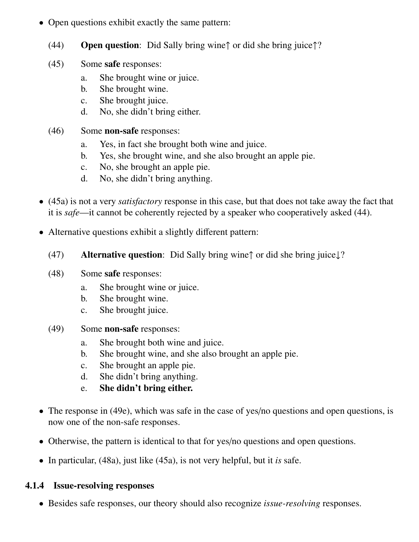- Open questions exhibit exactly the same pattern:
	- (44) Open question: Did Sally bring wine↑ or did she bring juice↑?
	- (45) Some safe responses:
		- a. She brought wine or juice.
		- b. She brought wine.
		- c. She brought juice.
		- d. No, she didn't bring either.
	- (46) Some non-safe responses:
		- a. Yes, in fact she brought both wine and juice.
		- b. Yes, she brought wine, and she also brought an apple pie.
		- c. No, she brought an apple pie.
		- d. No, she didn't bring anything.
- (45a) is not a very *satisfactory* response in this case, but that does not take away the fact that it is *safe*—it cannot be coherently rejected by a speaker who cooperatively asked (44).
- Alternative questions exhibit a slightly different pattern:
	- (47) Alternative question: Did Sally bring wine↑ or did she bring juice↓?
	- (48) Some safe responses:
		- a. She brought wine or juice.
		- b. She brought wine.
		- c. She brought juice.
	- (49) Some non-safe responses:
		- a. She brought both wine and juice.
		- b. She brought wine, and she also brought an apple pie.
		- c. She brought an apple pie.
		- d. She didn't bring anything.
		- e. She didn't bring either.
- The response in (49e), which was safe in the case of yes/no questions and open questions, is now one of the non-safe responses.
- Otherwise, the pattern is identical to that for yes/no questions and open questions.
- In particular, (48a), just like (45a), is not very helpful, but it *is* safe.

#### 4.1.4 Issue-resolving responses

• Besides safe responses, our theory should also recognize *issue-resolving* responses.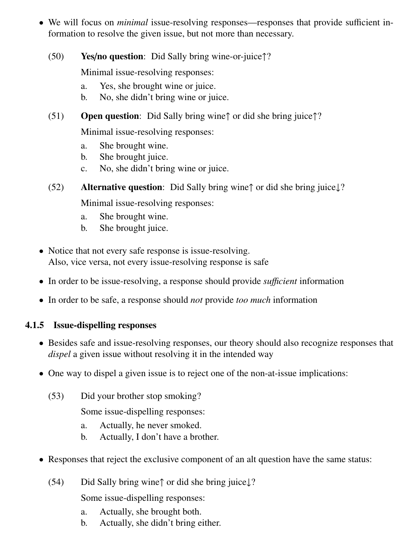- We will focus on *minimal* issue-resolving responses—responses that provide sufficient information to resolve the given issue, but not more than necessary.
	- (50) Yes/no question: Did Sally bring wine-or-juice↑?

Minimal issue-resolving responses:

- a. Yes, she brought wine or juice.
- b. No, she didn't bring wine or juice.
- $(51)$  Open question: Did Sally bring wine $\uparrow$  or did she bring juice $\uparrow$ ?

Minimal issue-resolving responses:

- a. She brought wine.
- b. She brought juice.
- c. No, she didn't bring wine or juice.
- (52) Alternative question: Did Sally bring wine↑ or did she bring juice↓?

Minimal issue-resolving responses:

- a. She brought wine.
- b. She brought juice.
- Notice that not every safe response is issue-resolving. Also, vice versa, not every issue-resolving response is safe
- In order to be issue-resolving, a response should provide *sufficient* information
- In order to be safe, a response should *not* provide *too much* information

#### 4.1.5 Issue-dispelling responses

- Besides safe and issue-resolving responses, our theory should also recognize responses that *dispel* a given issue without resolving it in the intended way
- One way to dispel a given issue is to reject one of the non-at-issue implications:
	- (53) Did your brother stop smoking?

Some issue-dispelling responses:

- a. Actually, he never smoked.
- b. Actually, I don't have a brother.
- Responses that reject the exclusive component of an alt question have the same status:
	- (54) Did Sally bring wine↑ or did she bring juice↓?

Some issue-dispelling responses:

- a. Actually, she brought both.
- b. Actually, she didn't bring either.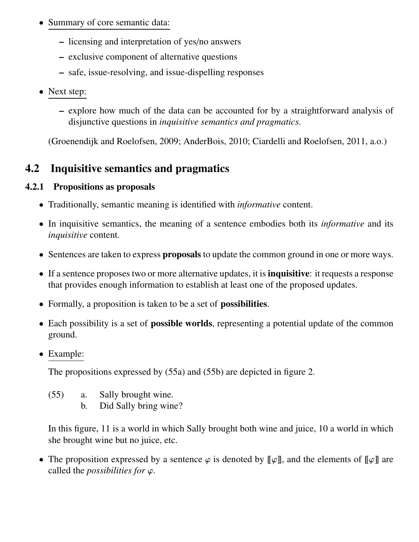- Summary of core semantic data:
	- licensing and interpretation of yes/no answers
	- exclusive component of alternative questions
	- safe, issue-resolving, and issue-dispelling responses
- Next step:
	- explore how much of the data can be accounted for by a straightforward analysis of disjunctive questions in *inquisitive semantics and pragmatics*.

(Groenendijk and Roelofsen, 2009; AnderBois, 2010; Ciardelli and Roelofsen, 2011, a.o.)

### 4.2 Inquisitive semantics and pragmatics

#### 4.2.1 Propositions as proposals

- Traditionally, semantic meaning is identified with *informative* content.
- In inquisitive semantics, the meaning of a sentence embodies both its *informative* and its *inquisitive* content.
- Sentences are taken to express **proposals** to update the common ground in one or more ways.
- If a sentence proposes two or more alternative updates, it is **inquisitive**: it requests a response that provides enough information to establish at least one of the proposed updates.
- Formally, a proposition is taken to be a set of **possibilities**.
- Each possibility is a set of **possible worlds**, representing a potential update of the common ground.
- Example:

The propositions expressed by (55a) and (55b) are depicted in figure 2.

- (55) a. Sally brought wine.
	- b. Did Sally bring wine?

In this figure, 11 is a world in which Sally brought both wine and juice, 10 a world in which she brought wine but no juice, etc.

• The proposition expressed by a sentence  $\varphi$  is denoted by  $\llbracket \varphi \rrbracket$ , and the elements of  $\llbracket \varphi \rrbracket$  are called the *possibilities for* ϕ.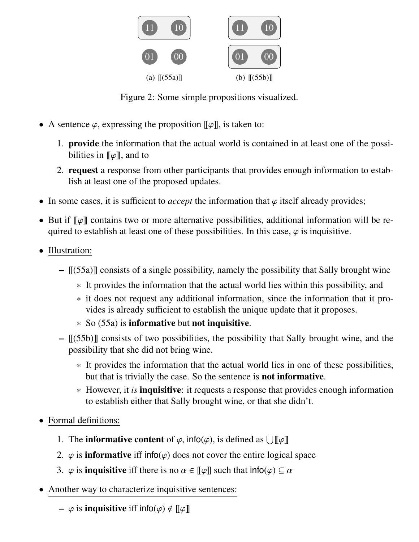

Figure 2: Some simple propositions visualized.

- A sentence  $\varphi$ , expressing the proposition  $[\![\varphi]\!]$ , is taken to:
	- 1. provide the information that the actual world is contained in at least one of the possibilities in  $\llbracket \varphi \rrbracket$ , and to
	- 2. request a response from other participants that provides enough information to establish at least one of the proposed updates.
- In some cases, it is sufficient to *accept* the information that  $\varphi$  itself already provides;
- But if  $\llbracket \varphi \rrbracket$  contains two or more alternative possibilities, additional information will be required to establish at least one of these possibilities. In this case,  $\varphi$  is inquisitive.
- Illustration:
	- [[(55a)]] consists of a single possibility, namely the possibility that Sally brought wine
		- ∗ It provides the information that the actual world lies within this possibility, and
		- ∗ it does not request any additional information, since the information that it provides is already sufficient to establish the unique update that it proposes.
		- ∗ So (55a) is informative but not inquisitive.
	- $\lbrack \! \lbrack (55b) \rbrack \! \rbrack$  consists of two possibilities, the possibility that Sally brought wine, and the possibility that she did not bring wine.
		- ∗ It provides the information that the actual world lies in one of these possibilities, but that is trivially the case. So the sentence is not informative.
		- ∗ However, it *is* inquisitive: it requests a response that provides enough information to establish either that Sally brought wine, or that she didn't.
- Formal definitions:
	- 1. The **informative content** of  $\varphi$ , info( $\varphi$ ), is defined as  $\bigcup [\![\varphi]\!]$
	- 2.  $\varphi$  is **informative** iff info( $\varphi$ ) does not cover the entire logical space
	- 3.  $\varphi$  is **inquisitive** iff there is no  $\alpha \in [\![\varphi]\!]$  such that  $\text{info}(\varphi) \subseteq \alpha$
- Another way to characterize inquisitive sentences:
	- $\phi$  is **inquisitive** iff info( $\varphi$ )  $\notin$  [[ $\varphi$ ]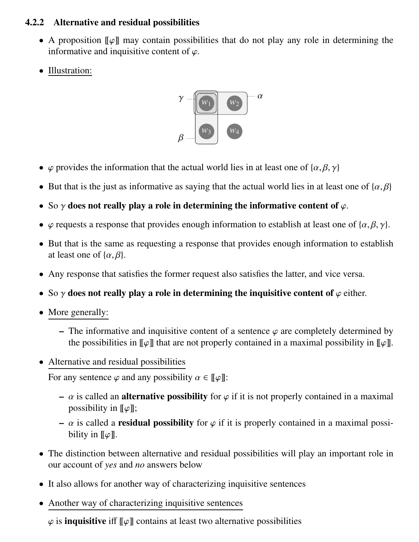#### 4.2.2 Alternative and residual possibilities

- A proposition  $\llbracket \varphi \rrbracket$  may contain possibilities that do not play any role in determining the informative and inquisitive content of  $\varphi$ .
- Illustration:



- $\varphi$  provides the information that the actual world lies in at least one of  $\{\alpha, \beta, \gamma\}$
- But that is the just as informative as saying that the actual world lies in at least one of  $\{\alpha, \beta\}$
- So  $\gamma$  does not really play a role in determining the informative content of  $\varphi$ .
- $\varphi$  requests a response that provides enough information to establish at least one of { $\alpha$ ,  $\beta$ ,  $\gamma$ }.
- But that is the same as requesting a response that provides enough information to establish at least one of  $\{\alpha, \beta\}$ .
- Any response that satisfies the former request also satisfies the latter, and vice versa.
- So  $\gamma$  does not really play a role in determining the inquisitive content of  $\varphi$  either.
- More generally:
	- The informative and inquisitive content of a sentence  $\varphi$  are completely determined by the possibilities in  $\llbracket \varphi \rrbracket$  that are not properly contained in a maximal possibility in  $\llbracket \varphi \rrbracket$ .
- Alternative and residual possibilities

For any sentence  $\varphi$  and any possibility  $\alpha \in [\![\varphi]\!]$ :

- $\alpha$  is called an **alternative possibility** for  $\varphi$  if it is not properly contained in a maximal possibility in  $\llbracket \varphi \rrbracket$ ;
- $\alpha$  is called a **residual possibility** for  $\varphi$  if it is properly contained in a maximal possibility in  $\llbracket \varphi \rrbracket$ .
- The distinction between alternative and residual possibilities will play an important role in our account of *yes* and *no* answers below
- It also allows for another way of characterizing inquisitive sentences
- Another way of characterizing inquisitive sentences

 $\varphi$  is **inquisitive** iff  $\llbracket \varphi \rrbracket$  contains at least two alternative possibilities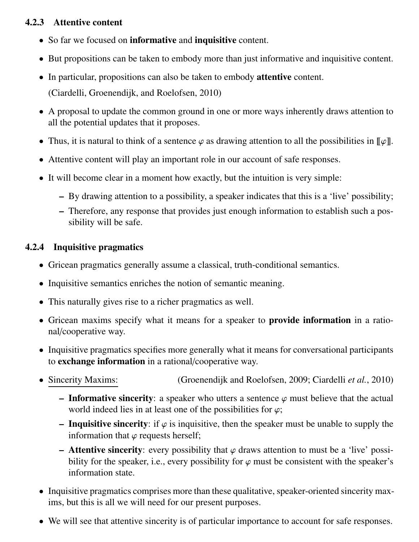#### 4.2.3 Attentive content

- So far we focused on informative and inquisitive content.
- But propositions can be taken to embody more than just informative and inquisitive content.
- In particular, propositions can also be taken to embody **attentive** content.

(Ciardelli, Groenendijk, and Roelofsen, 2010)

- A proposal to update the common ground in one or more ways inherently draws attention to all the potential updates that it proposes.
- Thus, it is natural to think of a sentence  $\varphi$  as drawing attention to all the possibilities in  $\llbracket \varphi \rrbracket$ .
- Attentive content will play an important role in our account of safe responses.
- It will become clear in a moment how exactly, but the intuition is very simple:
	- By drawing attention to a possibility, a speaker indicates that this is a 'live' possibility;
	- Therefore, any response that provides just enough information to establish such a possibility will be safe.

#### 4.2.4 Inquisitive pragmatics

- Gricean pragmatics generally assume a classical, truth-conditional semantics.
- Inquisitive semantics enriches the notion of semantic meaning.
- This naturally gives rise to a richer pragmatics as well.
- Gricean maxims specify what it means for a speaker to **provide information** in a rational/cooperative way.
- Inquisitive pragmatics specifies more generally what it means for conversational participants to exchange information in a rational/cooperative way.
- Sincerity Maxims: (Groenendijk and Roelofsen, 2009; Ciardelli *et al.*, 2010)
	- Informative sincerity: a speaker who utters a sentence  $\varphi$  must believe that the actual world indeed lies in at least one of the possibilities for  $\varphi$ ;
	- Inquisitive sincerity: if  $\varphi$  is inquisitive, then the speaker must be unable to supply the information that  $\varphi$  requests herself;
	- Attentive sincerity: every possibility that  $\varphi$  draws attention to must be a 'live' possibility for the speaker, i.e., every possibility for  $\varphi$  must be consistent with the speaker's information state.
- Inquisitive pragmatics comprises more than these qualitative, speaker-oriented sincerity maxims, but this is all we will need for our present purposes.
- We will see that attentive sincerity is of particular importance to account for safe responses.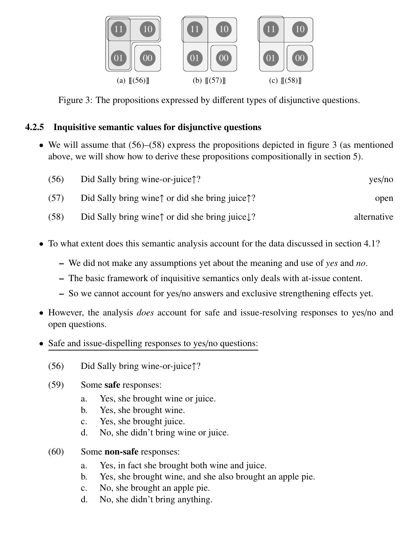

Figure 3: The propositions expressed by different types of disjunctive questions.

#### 4.2.5 Inquisitive semantic values for disjunctive questions

• We will assume that  $(56)$ – $(58)$  express the propositions depicted in figure 3 (as mentioned above, we will show how to derive these propositions compositionally in section 5).

| yes/no      | Did Sally bring wine-or-juice $\uparrow$ ?                            | (56) |
|-------------|-----------------------------------------------------------------------|------|
| open        | Did Sally bring wine $\uparrow$ or did she bring juice $\uparrow$ ?   | (57) |
| alternative | Did Sally bring wine $\uparrow$ or did she bring juice $\downarrow$ ? | (58) |

- To what extent does this semantic analysis account for the data discussed in section 4.1?
	- We did not make any assumptions yet about the meaning and use of *yes* and *no*.
	- The basic framework of inquisitive semantics only deals with at-issue content.
	- So we cannot account for yes/no answers and exclusive strengthening effects yet.
- However, the analysis *does* account for safe and issue-resolving responses to yes/no and open questions.
- Safe and issue-dispelling responses to yes/no questions:
	- (56) Did Sally bring wine-or-juice↑?
	- (59) Some safe responses:
		- a. Yes, she brought wine or juice.
		- b. Yes, she brought wine.
		- c. Yes, she brought juice.
		- d. No, she didn't bring wine or juice.
	- (60) Some non-safe responses:
		- a. Yes, in fact she brought both wine and juice.
		- b. Yes, she brought wine, and she also brought an apple pie.
		- c. No, she brought an apple pie.
		- d. No, she didn't bring anything.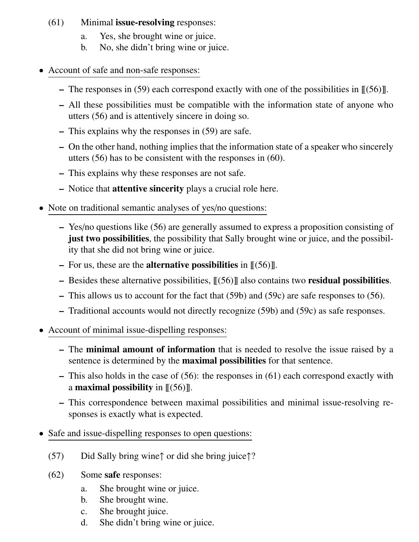#### (61) Minimal issue-resolving responses:

- a. Yes, she brought wine or juice.
- b. No, she didn't bring wine or juice.
- Account of safe and non-safe responses:
	- The responses in (59) each correspond exactly with one of the possibilities in  $\llbracket (56) \rrbracket$ .
	- All these possibilities must be compatible with the information state of anyone who utters (56) and is attentively sincere in doing so.
	- This explains why the responses in (59) are safe.
	- On the other hand, nothing implies that the information state of a speaker who sincerely utters (56) has to be consistent with the responses in (60).
	- This explains why these responses are not safe.
	- Notice that attentive sincerity plays a crucial role here.
- Note on traditional semantic analyses of yes/no questions:
	- Yes/no questions like (56) are generally assumed to express a proposition consisting of just two possibilities, the possibility that Sally brought wine or juice, and the possibility that she did not bring wine or juice.
	- For us, these are the **alternative possibilities** in  $\mathcal{L}(56)\mathcal{L}$ .
	- Besides these alternative possibilities,  $\lfloor (56) \rfloor$  also contains two **residual possibilities**.
	- This allows us to account for the fact that (59b) and (59c) are safe responses to (56).
	- Traditional accounts would not directly recognize (59b) and (59c) as safe responses.
- Account of minimal issue-dispelling responses:
	- The minimal amount of information that is needed to resolve the issue raised by a sentence is determined by the maximal possibilities for that sentence.
	- This also holds in the case of (56): the responses in (61) each correspond exactly with a **maximal possibility** in  $\langle \cdot |(56) \cdot \cdot \rangle$ .
	- This correspondence between maximal possibilities and minimal issue-resolving responses is exactly what is expected.
- Safe and issue-dispelling responses to open questions:
	- (57) Did Sally bring wine↑ or did she bring juice↑?
	- (62) Some safe responses:
		- a. She brought wine or juice.
		- b. She brought wine.
		- c. She brought juice.
		- d. She didn't bring wine or juice.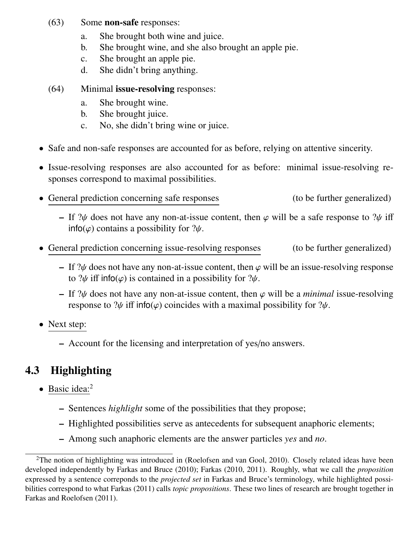- (63) Some non-safe responses:
	- a. She brought both wine and juice.
	- b. She brought wine, and she also brought an apple pie.
	- c. She brought an apple pie.
	- d. She didn't bring anything.
- (64) Minimal issue-resolving responses:
	- a. She brought wine.
	- b. She brought juice.
	- c. No, she didn't bring wine or juice.
- Safe and non-safe responses are accounted for as before, relying on attentive sincerity.
- Issue-resolving responses are also accounted for as before: minimal issue-resolving responses correspond to maximal possibilities.
- General prediction concerning safe responses (to be further generalized)
	- If  $\mathcal{W}$  does not have any non-at-issue content, then  $\varphi$  will be a safe response to  $\mathcal{W}$  iff  $info(\varphi)$  contains a possibility for  $?\psi$ .
- General prediction concerning issue-resolving responses (to be further generalized)
	- If  $\mathcal{W}$  does not have any non-at-issue content, then  $\varphi$  will be an issue-resolving response to  $\psi$  iff info( $\varphi$ ) is contained in a possibility for  $\psi$ .
	- If  $\mathcal{W}$  does not have any non-at-issue content, then  $\varphi$  will be a *minimal* issue-resolving response to  $\mathcal{W}$  iff info( $\varphi$ ) coincides with a maximal possibility for  $\mathcal{W}$ .
- Next step:
	- Account for the licensing and interpretation of yes/no answers.

## 4.3 Highlighting

- Basic idea:<sup>2</sup>
	- Sentences *highlight* some of the possibilities that they propose;
	- Highlighted possibilities serve as antecedents for subsequent anaphoric elements;
	- Among such anaphoric elements are the answer particles *yes* and *no*.

 $2$ The notion of highlighting was introduced in (Roelofsen and van Gool, 2010). Closely related ideas have been developed independently by Farkas and Bruce (2010); Farkas (2010, 2011). Roughly, what we call the *proposition* expressed by a sentence correponds to the *projected set* in Farkas and Bruce's terminology, while highlighted possibilities correspond to what Farkas (2011) calls *topic propositions*. These two lines of research are brought together in Farkas and Roelofsen (2011).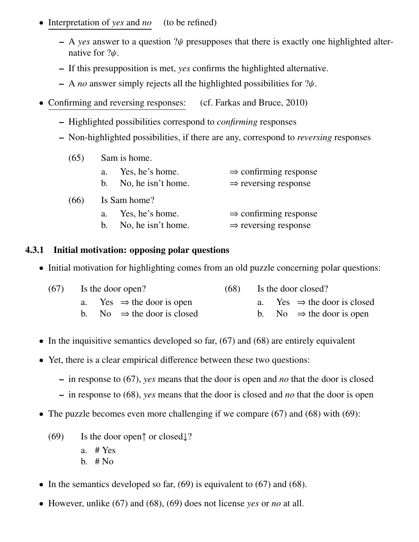- Interpretation of *yes* and *no* (to be refined)
	- A *yes* answer to a question ?ψ presupposes that there is exactly one highlighted alternative for ?ψ.
	- If this presupposition is met, *yes* confirms the highlighted alternative.
	- A *no* answer simply rejects all the highlighted possibilities for ?ψ.
- Confirming and reversing responses: (cf. Farkas and Bruce, 2010)
	- Highlighted possibilities correspond to *confirming* responses
	- Non-highlighted possibilities, if there are any, correspond to *reversing* responses

| (65) | Sam is home.                                                       |                                                                       |
|------|--------------------------------------------------------------------|-----------------------------------------------------------------------|
|      | Yes, he's home.<br>a <sub>1</sub><br>No, he isn't home.<br>$b_{1}$ | $\Rightarrow$ confirming response<br>$\Rightarrow$ reversing response |
| (66) | Is Sam home?                                                       |                                                                       |
|      | Yes, he's home.<br>a.<br>No, he isn't home.<br>$h_{\cdot}$         | $\Rightarrow$ confirming response<br>$\Rightarrow$ reversing response |

#### 4.3.1 Initial motivation: opposing polar questions

• Initial motivation for highlighting comes from an old puzzle concerning polar questions:

| $(67)$ Is the door open?<br>(68) |  | Is the door closed?                    |  |  |  |                                         |
|----------------------------------|--|----------------------------------------|--|--|--|-----------------------------------------|
|                                  |  | a. Yes $\Rightarrow$ the door is open  |  |  |  | a. Yes $\Rightarrow$ the door is closed |
|                                  |  | b. No $\Rightarrow$ the door is closed |  |  |  | b. No $\Rightarrow$ the door is open    |

- In the inquisitive semantics developed so far,  $(67)$  and  $(68)$  are entirely equivalent
- Yet, there is a clear empirical difference between these two questions:
	- in response to (67), *yes* means that the door is open and *no* that the door is closed
	- in response to (68), *yes* means that the door is closed and *no* that the door is open
- The puzzle becomes even more challenging if we compare (67) and (68) with (69):
	- (69) Is the door open↑ or closed↓? a. # Yes b.  $#$  No
- In the semantics developed so far,  $(69)$  is equivalent to  $(67)$  and  $(68)$ .
- However, unlike (67) and (68), (69) does not license *yes* or *no* at all.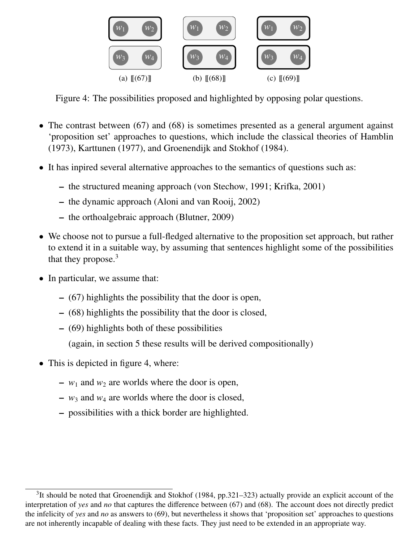

Figure 4: The possibilities proposed and highlighted by opposing polar questions.

- The contrast between (67) and (68) is sometimes presented as a general argument against 'proposition set' approaches to questions, which include the classical theories of Hamblin (1973), Karttunen (1977), and Groenendijk and Stokhof (1984).
- It has inpired several alternative approaches to the semantics of questions such as:
	- the structured meaning approach (von Stechow, 1991; Krifka, 2001)
	- the dynamic approach (Aloni and van Rooij, 2002)
	- the orthoalgebraic approach (Blutner, 2009)
- We choose not to pursue a full-fledged alternative to the proposition set approach, but rather to extend it in a suitable way, by assuming that sentences highlight some of the possibilities that they propose.<sup>3</sup>
- In particular, we assume that:
	- (67) highlights the possibility that the door is open,
	- (68) highlights the possibility that the door is closed,
	- (69) highlights both of these possibilities
		- (again, in section 5 these results will be derived compositionally)
- This is depicted in figure 4, where:
	- $w_1$  and  $w_2$  are worlds where the door is open,
	- $w_3$  and  $w_4$  are worlds where the door is closed,
	- possibilities with a thick border are highlighted.

 $3$ It should be noted that Groenendijk and Stokhof (1984, pp.321–323) actually provide an explicit account of the interpretation of *yes* and *no* that captures the difference between (67) and (68). The account does not directly predict the infelicity of *yes* and *no* as answers to (69), but nevertheless it shows that 'proposition set' approaches to questions are not inherently incapable of dealing with these facts. They just need to be extended in an appropriate way.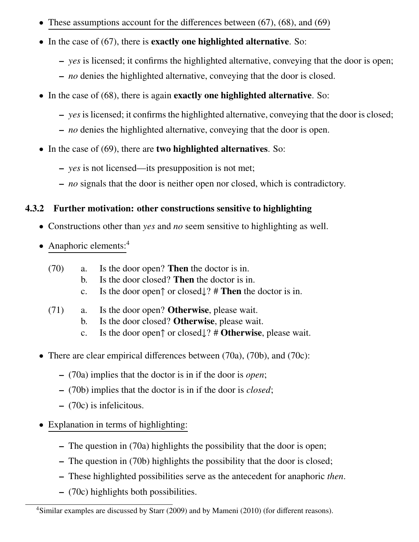- These assumptions account for the differences between  $(67)$ ,  $(68)$ , and  $(69)$
- In the case of (67), there is **exactly one highlighted alternative**. So:
	- *yes* is licensed; it confirms the highlighted alternative, conveying that the door is open;
	- *no* denies the highlighted alternative, conveying that the door is closed.
- In the case of (68), there is again **exactly one highlighted alternative**. So:
	- *yes* is licensed; it confirms the highlighted alternative, conveying that the door is closed;
	- *no* denies the highlighted alternative, conveying that the door is open.
- In the case of (69), there are two highlighted alternatives. So:
	- *yes* is not licensed—its presupposition is not met;
	- *no* signals that the door is neither open nor closed, which is contradictory.

#### 4.3.2 Further motivation: other constructions sensitive to highlighting

- Constructions other than *yes* and *no* seem sensitive to highlighting as well.
- Anaphoric elements: $4$ 
	- (70) a. Is the door open? Then the doctor is in.
		- b. Is the door closed? Then the doctor is in.
		- c. Is the door open↑ or closed↓? # Then the doctor is in.
	- (71) a. Is the door open? Otherwise, please wait.
		- b. Is the door closed? Otherwise, please wait.
		- c. Is the door open↑ or closed↓? # Otherwise, please wait.
- There are clear empirical differences between (70a), (70b), and (70c):
	- (70a) implies that the doctor is in if the door is *open*;
	- (70b) implies that the doctor is in if the door is *closed*;
	- (70c) is infelicitous.
- Explanation in terms of highlighting:
	- The question in (70a) highlights the possibility that the door is open;
	- The question in (70b) highlights the possibility that the door is closed;
	- These highlighted possibilities serve as the antecedent for anaphoric *then*.
	- (70c) highlights both possibilities.

<sup>&</sup>lt;sup>4</sup>Similar examples are discussed by Starr (2009) and by Mameni (2010) (for different reasons).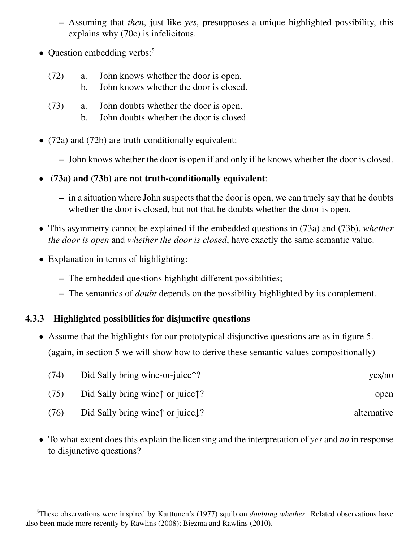- Assuming that *then*, just like *yes*, presupposes a unique highlighted possibility, this explains why (70c) is infelicitous.
- Question embedding verbs: $5$ 
	- (72) a. John knows whether the door is open.
		- b. John knows whether the door is closed.
	- (73) a. John doubts whether the door is open.
		- b. John doubts whether the door is closed.
- (72a) and (72b) are truth-conditionally equivalent:
	- John knows whether the door is open if and only if he knows whether the door is closed.
- (73a) and (73b) are not truth-conditionally equivalent:
	- in a situation where John suspects that the door is open, we can truely say that he doubts whether the door is closed, but not that he doubts whether the door is open.
- This asymmetry cannot be explained if the embedded questions in (73a) and (73b), *whether the door is open* and *whether the door is closed*, have exactly the same semantic value.
- Explanation in terms of highlighting:
	- The embedded questions highlight different possibilities;
	- The semantics of *doubt* depends on the possibility highlighted by its complement.

#### 4.3.3 Highlighted possibilities for disjunctive questions

• Assume that the highlights for our prototypical disjunctive questions are as in figure 5. (again, in section 5 we will show how to derive these semantic values compositionally)

| (74) | Did Sally bring wine-or-juice <sup><math>\uparrow</math></sup> ? | yes/no      |
|------|------------------------------------------------------------------|-------------|
| (75) | Did Sally bring wine $\uparrow$ or juice $\uparrow$ ?            | open        |
| (76) | Did Sally bring wine $\uparrow$ or juice $\downarrow$ ?          | alternative |

• To what extent does this explain the licensing and the interpretation of *yes* and *no* in response to disjunctive questions?

<sup>5</sup>These observations were inspired by Karttunen's (1977) squib on *doubting whether*. Related observations have also been made more recently by Rawlins (2008); Biezma and Rawlins (2010).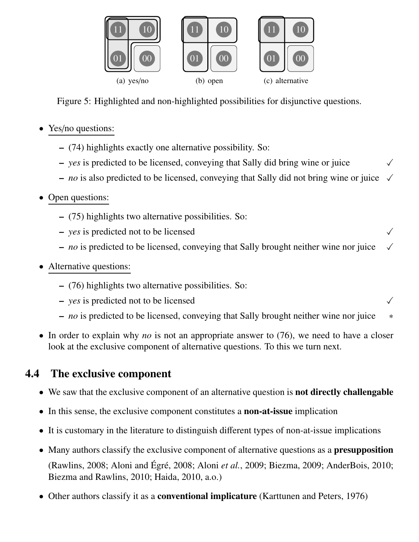

Figure 5: Highlighted and non-highlighted possibilities for disjunctive questions.

- Yes/no questions:
	- (74) highlights exactly one alternative possibility. So:
	- *yes* is predicted to be licensed, conveying that Sally did bring wine or juice X
	- *no* is also predicted to be licensed, conveying that Sally did not bring wine or juice  $\checkmark$
- Open questions:
	- (75) highlights two alternative possibilities. So:
	- $\rightarrow$  *yes* is predicted not to be licensed
	- *no* is predicted to be licensed, conveying that Sally brought neither wine nor juice X
- Alternative questions:
	- (76) highlights two alternative possibilities. So:
	- $\rightarrow$  *yes* is predicted not to be licensed
	- *no* is predicted to be licensed, conveying that Sally brought neither wine nor juice ∗
- In order to explain why *no* is not an appropriate answer to (76), we need to have a closer look at the exclusive component of alternative questions. To this we turn next.

### 4.4 The exclusive component

- We saw that the exclusive component of an alternative question is **not directly challengable**
- In this sense, the exclusive component constitutes a **non-at-issue** implication
- It is customary in the literature to distinguish different types of non-at-issue implications
- Many authors classify the exclusive component of alternative questions as a **presupposition** (Rawlins, 2008; Aloni and Égré, 2008; Aloni et al., 2009; Biezma, 2009; AnderBois, 2010; Biezma and Rawlins, 2010; Haida, 2010, a.o.)
- Other authors classify it as a **conventional implicature** (Karttunen and Peters, 1976)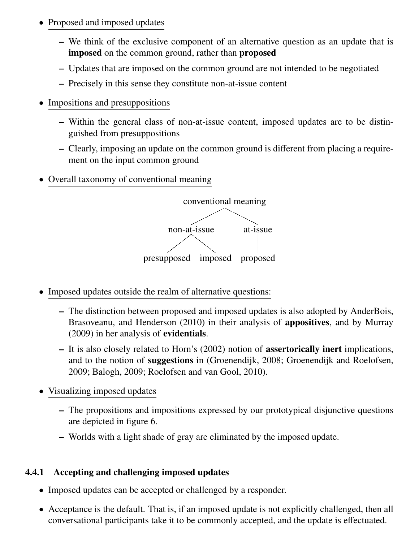- Proposed and imposed updates
	- We think of the exclusive component of an alternative question as an update that is imposed on the common ground, rather than proposed
	- Updates that are imposed on the common ground are not intended to be negotiated
	- Precisely in this sense they constitute non-at-issue content
- Impositions and presuppositions
	- Within the general class of non-at-issue content, imposed updates are to be distinguished from presuppositions
	- Clearly, imposing an update on the common ground is different from placing a requirement on the input common ground
- Overall taxonomy of conventional meaning



- Imposed updates outside the realm of alternative questions:
	- The distinction between proposed and imposed updates is also adopted by AnderBois, Brasoveanu, and Henderson (2010) in their analysis of **appositives**, and by Murray (2009) in her analysis of evidentials.
	- It is also closely related to Horn's (2002) notion of assertorically inert implications, and to the notion of suggestions in (Groenendijk, 2008; Groenendijk and Roelofsen, 2009; Balogh, 2009; Roelofsen and van Gool, 2010).
- Visualizing imposed updates
	- The propositions and impositions expressed by our prototypical disjunctive questions are depicted in figure 6.
	- Worlds with a light shade of gray are eliminated by the imposed update.

#### 4.4.1 Accepting and challenging imposed updates

- Imposed updates can be accepted or challenged by a responder.
- Acceptance is the default. That is, if an imposed update is not explicitly challenged, then all conversational participants take it to be commonly accepted, and the update is effectuated.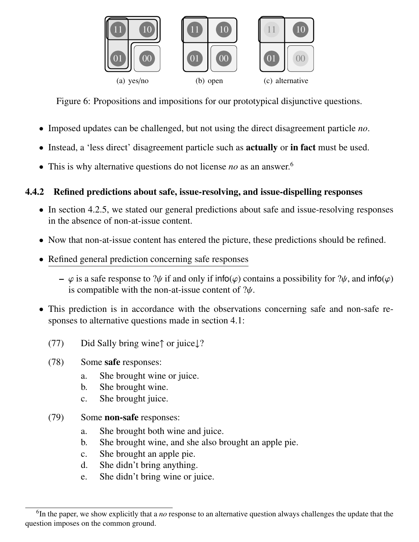

Figure 6: Propositions and impositions for our prototypical disjunctive questions.

- Imposed updates can be challenged, but not using the direct disagreement particle *no*.
- Instead, a 'less direct' disagreement particle such as actually or in fact must be used.
- This is why alternative questions do not license *no* as an answer.<sup>6</sup>

#### 4.4.2 Refined predictions about safe, issue-resolving, and issue-dispelling responses

- In section 4.2.5, we stated our general predictions about safe and issue-resolving responses in the absence of non-at-issue content.
- Now that non-at-issue content has entered the picture, these predictions should be refined.
- Refined general prediction concerning safe responses
	- $\varphi$  is a safe response to ? $\psi$  if and only if info( $\varphi$ ) contains a possibility for ? $\psi$ , and info( $\varphi$ ) is compatible with the non-at-issue content of  $\psi$ .
- This prediction is in accordance with the observations concerning safe and non-safe responses to alternative questions made in section 4.1:
	- (77) Did Sally bring wine↑ or juice↓?
	- (78) Some safe responses:
		- a. She brought wine or juice.
		- b. She brought wine.
		- c. She brought juice.
	- (79) Some non-safe responses:
		- a. She brought both wine and juice.
		- b. She brought wine, and she also brought an apple pie.
		- c. She brought an apple pie.
		- d. She didn't bring anything.
		- e. She didn't bring wine or juice.

<sup>6</sup> In the paper, we show explicitly that a *no* response to an alternative question always challenges the update that the question imposes on the common ground.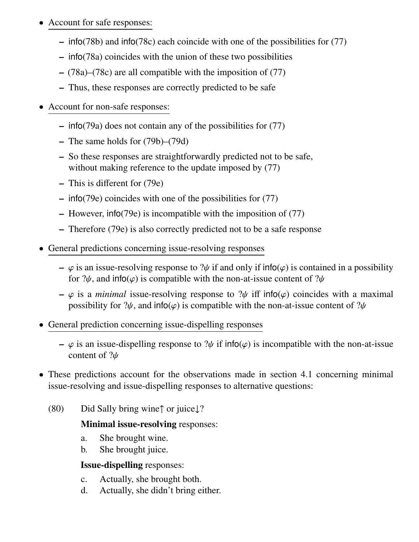- Account for safe responses:
	- info(78b) and info(78c) each coincide with one of the possibilities for (77)
	- info(78a) coincides with the union of these two possibilities
	- (78a)–(78c) are all compatible with the imposition of (77)
	- Thus, these responses are correctly predicted to be safe
- Account for non-safe responses:
	- info(79a) does not contain any of the possibilities for (77)
	- The same holds for (79b)–(79d)
	- So these responses are straightforwardly predicted not to be safe, without making reference to the update imposed by  $(77)$
	- This is different for (79e)
	- info(79e) coincides with one of the possibilities for (77)
	- However, info(79e) is incompatible with the imposition of (77)
	- Therefore (79e) is also correctly predicted not to be a safe response
- General predictions concerning issue-resolving responses
	- $\varphi$  is an issue-resolving response to  $\psi$  if and only if info( $\varphi$ ) is contained in a possibility for  $\psi$ , and info( $\varphi$ ) is compatible with the non-at-issue content of  $\psi$
	- $-\varphi$  is a *minimal* issue-resolving response to  $\psi$  iff info( $\varphi$ ) coincides with a maximal possibility for  $\mathcal{W}$ , and info( $\varphi$ ) is compatible with the non-at-issue content of  $\mathcal{W}$
- General prediction concerning issue-dispelling responses
	- $\varphi$  is an issue-dispelling response to ? $\psi$  if info( $\varphi$ ) is incompatible with the non-at-issue content of ?ψ
- These predictions account for the observations made in section 4.1 concerning minimal issue-resolving and issue-dispelling responses to alternative questions:
	- (80) Did Sally bring wine↑ or juice↓?

#### Minimal issue-resolving responses:

- a. She brought wine.
- b. She brought juice.

#### Issue-dispelling responses:

- c. Actually, she brought both.
- d. Actually, she didn't bring either.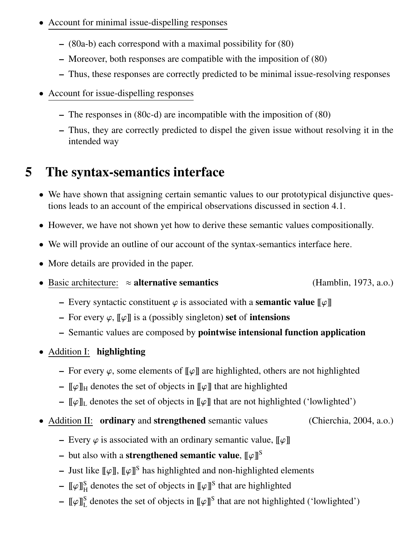- Account for minimal issue-dispelling responses
	- (80a-b) each correspond with a maximal possibility for (80)
	- Moreover, both responses are compatible with the imposition of (80)
	- Thus, these responses are correctly predicted to be minimal issue-resolving responses
- Account for issue-dispelling responses
	- The responses in (80c-d) are incompatible with the imposition of (80)
	- Thus, they are correctly predicted to dispel the given issue without resolving it in the intended way

## 5 The syntax-semantics interface

- We have shown that assigning certain semantic values to our prototypical disjunctive questions leads to an account of the empirical observations discussed in section 4.1.
- However, we have not shown yet how to derive these semantic values compositionally.
- We will provide an outline of our account of the syntax-semantics interface here.
- More details are provided in the paper.
- Basic architecture:  $\approx$  alternative semantics (Hamblin, 1973, a.o.)
	- Every syntactic constituent  $\varphi$  is associated with a **semantic value**  $\llbracket \varphi \rrbracket$
	- For every  $\varphi$ ,  $\llbracket \varphi \rrbracket$  is a (possibly singleton) set of intensions
	- Semantic values are composed by pointwise intensional function application
- Addition I: highlighting
	- For every  $\varphi$ , some elements of  $[\varphi]$  are highlighted, others are not highlighted
	- $[\![\varphi]\!]_H$  denotes the set of objects in  $[\![\varphi]\!]$  that are highlighted
	- $[\![\varphi]\!]_L$  denotes the set of objects in  $[\![\varphi]\!]$  that are not highlighted ('lowlighted')
- Addition II: ordinary and strengthened semantic values (Chierchia, 2004, a.o.)
	- Every  $\varphi$  is associated with an ordinary semantic value,  $\llbracket \varphi \rrbracket$
	- but also with a strengthened semantic value,  $\llbracket \varphi \rrbracket^{\text{S}}$
	- Just like  $[\![\varphi]\!]$ ,  $[\![\varphi]\!]$ <sup>S</sup> has highlighted and non-highlighted elements
	- $-$  [[ $\varphi$ ]]<sup>S</sup><sub>H</sub> denotes the set of objects in [[ $\varphi$ ]]<sup>S</sup> that are highlighted
	- $-$  [[ $\varphi$ ]]<sup>S</sup> denotes the set of objects in [[ $\varphi$ ]]<sup>S</sup> that are not highlighted ('lowlighted')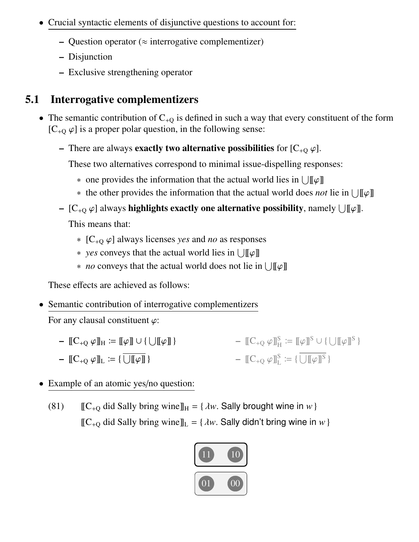- Crucial syntactic elements of disjunctive questions to account for:
	- Question operator ( $\approx$  interrogative complementizer)
	- Disjunction
	- Exclusive strengthening operator

## 5.1 Interrogative complementizers

- The semantic contribution of  $C_{+Q}$  is defined in such a way that every constituent of the form  $[C_{+Q} \varphi]$  is a proper polar question, in the following sense:
	- There are always **exactly two alternative possibilities** for  $[C_{+Q} \varphi]$ .

These two alternatives correspond to minimal issue-dispelling responses:

- one provides the information that the actual world lies in  $\bigcup [\![\varphi]\!]$
- ∗ the other provides the information that the actual world does *not* lie in  $\bigcup [\phi]$
- [C<sub>+Q</sub>  $\varphi$ ] always **highlights exactly one alternative possibility**, namely  $\bigcup [\![\varphi]\!]$ .

This means that:

- ∗ [C+<sup>Q</sup> ϕ] always licenses *yes* and *no* as responses
- $\ast$  *yes* conveys that the actual world lies in ∪[[ $\varphi$ ]]
- ∗ *no* conveys that the actual world does not lie in  $\bigcup [\![\varphi]\!]$

These effects are achieved as follows:

• Semantic contribution of interrogative complementizers

For any clausal constituent  $\varphi$ :

- $\llbracket C_{+Q} \varphi \rrbracket_H \coloneqq \llbracket \varphi \rrbracket \cup \{ \bigcup \llbracket \varphi \rrbracket \}$  $\llbracket C_{+Q} \varphi \rrbracket_L \coloneqq \{ \overline{\bigcup \llbracket \varphi \rrbracket} \}$  $\mathbb{E} \mathbb{C}_{+Q} \varphi \mathbb{I}_{H}^{S} \coloneqq \mathbb{I} \varphi \mathbb{I}^{S} \cup \{ \bigcup \mathbb{I} \varphi \mathbb{I}^{S} \}$  $\mathbb{C}_{+Q} \varphi \mathbb{I}_{L}^{S} \coloneqq {\{\bigcup[\![\varphi]\!]^{S}\}}$
- Example of an atomic yes/no question:
	- (81)  $[[C_{+Q} \text{ did Sally bring wine}]]_H = \{\lambda w. \text{ Sally brought wine in } w\}$  $[[C_{+Q}$  did Sally bring wine $]]_L = \{\lambda w$ . Sally didn't bring wine in *w* }

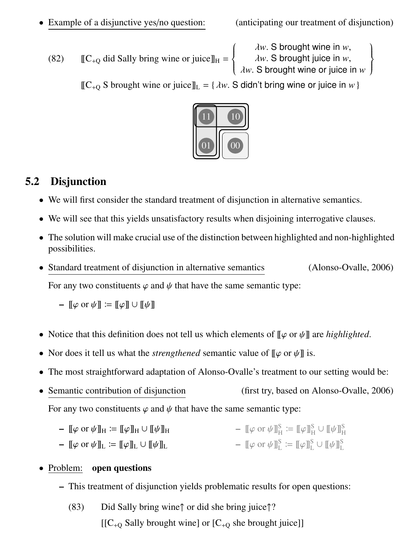• Example of a disjunctive yes/no question: (anticipating our treatment of disjunction)

(82)  $[[C_{+Q} \text{ did Sally bring wine or juice}]]_H =$  $\sqrt{ }$  $\int$  $\overline{\mathcal{L}}$ λ*w*. S brought wine in *w*, λ*w*. S brought juice in *w*, λ*w*. S brought wine or juice in *w*  $\overline{1}$  $\left\{\right\}$  $\int$ 

 $[[C_{+Q} S]$  brought wine or juice $]]_{L} = \{\lambda w$ . S didn't bring wine or juice in w }



### 5.2 Disjunction

- We will first consider the standard treatment of disjunction in alternative semantics.
- We will see that this yields unsatisfactory results when disjoining interrogative clauses.
- The solution will make crucial use of the distinction between highlighted and non-highlighted possibilities.
- Standard treatment of disjunction in alternative semantics (Alonso-Ovalle, 2006)

For any two constituents  $\varphi$  and  $\psi$  that have the same semantic type:

$$
-\llbracket \varphi \text{ or } \psi \rrbracket \coloneqq \llbracket \varphi \rrbracket \cup \llbracket \psi \rrbracket
$$

- Notice that this definition does not tell us which elements of  $[\![\varphi \text{ or } \psi]\!]$  are *highlighted*.
- Nor does it tell us what the *strengthened* semantic value of  $[\![\varphi \text{ or } \psi]\!]$  is.
- The most straightforward adaptation of Alonso-Ovalle's treatment to our setting would be:
- Semantic contribution of disjunction (first try, based on Alonso-Ovalle, 2006) For any two constituents  $\varphi$  and  $\psi$  that have the same semantic type:
	- $\[\varphi \text{ or } \psi\]_H := \[\varphi\]_H \cup [\psi\]_H$  $-$  [[ $\varphi$  or  $\psi$ ]] $_{\rm H}^{\rm S} \coloneqq$  [[ $\varphi$ ]] $_{\rm H}^{\rm S}$   $\cup$  [[ $\psi$ ]] $_{\rm H}^{\rm S}$
	- $\llbracket \varphi \text{ or } \psi \rrbracket_L \coloneqq \llbracket \varphi \rrbracket_L \cup \llbracket \psi \rrbracket_L$  $-$  [[ $\varphi$  or  $\psi$ ]] $S_L^S \coloneqq$  [[ $\varphi$ ]] $_D^S \cup$  [[ $\psi$ ]] $_D^S$

#### • Problem: open questions

- This treatment of disjunction yields problematic results for open questions:
	- (83) Did Sally bring wine↑ or did she bring juice↑?  $[[C_{+Q}$  Sally brought wine] or  $[C_{+Q}$  she brought juice]]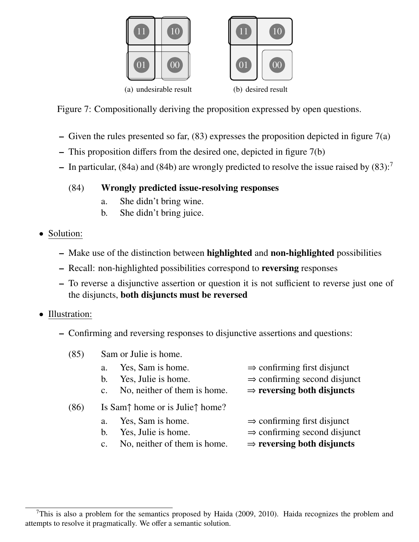



Figure 7: Compositionally deriving the proposition expressed by open questions.

- Given the rules presented so far,  $(83)$  expresses the proposition depicted in figure  $7(a)$
- This proposition differs from the desired one, depicted in figure 7(b)
- In particular, (84a) and (84b) are wrongly predicted to resolve the issue raised by  $(83)$ :<sup>7</sup>

#### (84) Wrongly predicted issue-resolving responses

- a. She didn't bring wine.
- b. She didn't bring juice.
- Solution:
	- Make use of the distinction between highlighted and non-highlighted possibilities
	- Recall: non-highlighted possibilities correspond to reversing responses
	- To reverse a disjunctive assertion or question it is not sufficient to reverse just one of the disjuncts, both disjuncts must be reversed
- Illustration:
	- Confirming and reversing responses to disjunctive assertions and questions:
		- (85) Sam or Julie is home. a. Yes, Sam is home.  $\Rightarrow$  confirming first disjunct b. Yes. Julie is home.  $\Rightarrow$  confirming second disjunct b. Yes, Julie is home.  $\Rightarrow$  confirming second disjunct c. No, neither of them is home.  $\Rightarrow$  **reversing both disjuncts**  $\Rightarrow$  reversing both disjuncts (86) Is Sam↑ home or is Julie↑ home? a. Yes, Sam is home.  $\Rightarrow$  confirming first disjunct b. Yes. Julie is home.  $\Rightarrow$  confirming second disjunct b. Yes, Julie is home.  $\Rightarrow$  confirming second disjunct<br>c. No, neither of them is home.  $\Rightarrow$  **reversing both disjuncts** 
			- No, neither of them is home.

<sup>&</sup>lt;sup>7</sup>This is also a problem for the semantics proposed by Haida (2009, 2010). Haida recognizes the problem and attempts to resolve it pragmatically. We offer a semantic solution.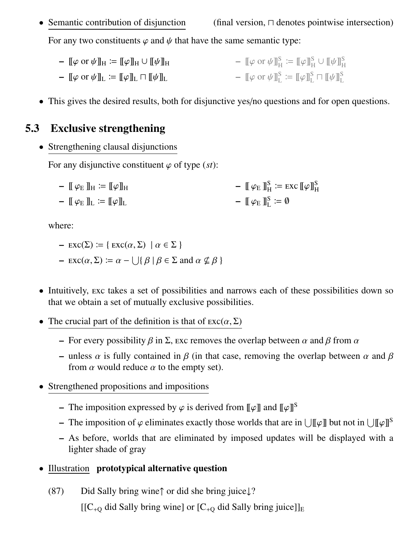• Semantic contribution of disjunction (final version,  $\Box$  denotes pointwise intersection)

For any two constituents  $\varphi$  and  $\psi$  that have the same semantic type:

- $\[\varphi \text{ or } \psi\]_H \coloneqq \[\varphi\]_H \cup \[\psi\]_H$ –  $\lbrack\lbrack\phi\rbrack\rbrack$  $\lbrack\psi\rbrack\rbrack$ <sub>L</sub>  $\lbrack\psi\rbrack\rbrack$  $\lbrack\psi\rbrack\rbrack$ <sub>L</sub>  $-$  [[ $\varphi$  or  $\psi$ ]] $_{\rm H}^{\rm S} \coloneqq$  [[ $\varphi$ ]] $_{\rm H}^{\rm S}$   $\cup$  [[ $\psi$ ]] $_{\rm H}^{\rm S}$  $-$  [[ $\varphi$  or  $\psi$ ]] $_{\rm L}^{\rm S} \coloneqq$  [[ $\varphi$ ]] $_{\rm L}^{\rm S}$   $\sqcap$  [[ $\psi$ ]] $_{\rm L}^{\rm S}$
- This gives the desired results, both for disjunctive yes/no questions and for open questions.

#### 5.3 Exclusive strengthening

• Strengthening clausal disjunctions

For any disjunctive constituent  $\varphi$  of type (*st*):

–  $[\![\varphi_{\mathrm{E}}]\!]_{\mathrm{H}} \coloneqq [\![\varphi]\!]_{\mathrm{H}}$  $\mathbb{F} \varphi_{\mathrm{E}} \mathbb{I}_{\mathrm{L}} \coloneqq \mathbb{F} \varphi \mathbb{I}_{\mathrm{L}}$  $- \mathbb{I} \varphi_{\mathrm{E}} \mathbb{I}_{\mathrm{H}}^{\mathrm{S}} \coloneqq \mathrm{exc} \, \mathbb{I} \varphi \mathbb{I}_{\mathrm{H}}^{\mathrm{S}}$  $\mathbb{I} \varphi_{\mathrm{E}} \mathbb{I}_{\mathrm{L}}^{\mathrm{S}} \coloneqq \emptyset$ 

where:

- $\text{exc}(\Sigma) := \{ \text{exc}(\alpha, \Sigma) \mid \alpha \in \Sigma \}$
- $-$  EXC( $\alpha$ ,  $\Sigma$ ) :=  $\alpha$   $\bigcup$ { $\beta$  |  $\beta$   $\in$   $\Sigma$  and  $\alpha \nsubseteq \beta$  }
- Intuitively, exc takes a set of possibilities and narrows each of these possibilities down so that we obtain a set of mutually exclusive possibilities.
- The crucial part of the definition is that of  $\text{exc}(\alpha, \Sigma)$ 
	- For every possibility  $\beta$  in  $\Sigma$ , exc removes the overlap between  $\alpha$  and  $\beta$  from  $\alpha$
	- unless  $\alpha$  is fully contained in  $\beta$  (in that case, removing the overlap between  $\alpha$  and  $\beta$ from  $\alpha$  would reduce  $\alpha$  to the empty set).
- Strengthened propositions and impositions
	- The imposition expressed by  $\varphi$  is derived from  $\llbracket \varphi \rrbracket$  and  $\llbracket \varphi \rrbracket^S$
	- The imposition of  $\varphi$  eliminates exactly those worlds that are in  $\bigcup [\![\varphi]\!]$  but not in  $\bigcup [\![\varphi]\!]$ <sup>S</sup>
	- As before, worlds that are eliminated by imposed updates will be displayed with a lighter shade of gray
- Illustration prototypical alternative question
	- (87) Did Sally bring wine↑ or did she bring juice↓?

 $[[C_{+Q}$  did Sally bring wine] or  $[C_{+Q}$  did Sally bring juice]]<sub>E</sub>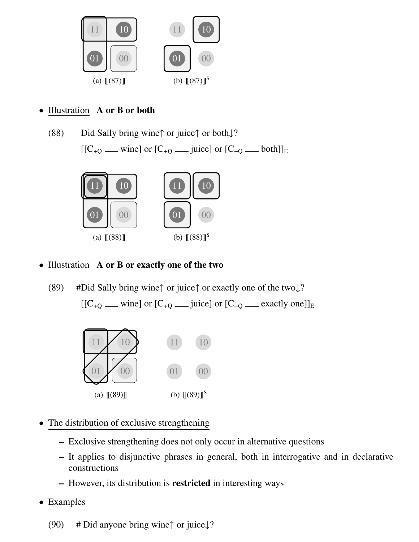

#### Illustration A or B or both

(88) Did Sally bring wine↑ or juice↑ or both↓?  $[[C_{+Q} \text{ ]} \text{ or } [C_{+Q} \text{ ]} \text{]} \text{ or } [C_{+Q} \text{ ]} \text{ or } [C_{+Q} \text{ ]} \text{ }$ 



#### • Illustration A or B or exactly one of the two

(89) #Did Sally bring wine↑ or juice↑ or exactly one of the two↓? [[C+<sup>Q</sup> wine] or [C+<sup>Q</sup> juice] or [C+<sup>Q</sup> exactly one]]<sup>E</sup>



- The distribution of exclusive strengthening
	- Exclusive strengthening does not only occur in alternative questions
	- It applies to disjunctive phrases in general, both in interrogative and in declarative constructions
	- However, its distribution is restricted in interesting ways
- Examples
	- (90) # Did anyone bring wine $\uparrow$  or juice $\downarrow$ ?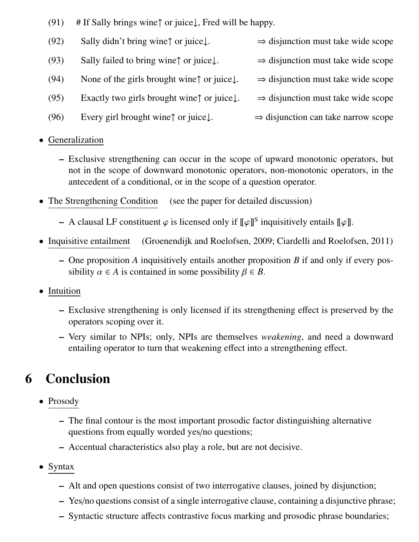- (91) # If Sally brings wine $\uparrow$  or juice, Fred will be happy.
- (92) Sally didn't bring wine↑ or juice $\downarrow$ .  $\Rightarrow$  disjunction must take wide scope
- (93) Sally failed to bring wine↑ or juice↓.  $\Rightarrow$  disjunction must take wide scope (94) None of the girls brought wine↑ or juice $\downarrow$ .  $\Rightarrow$  disjunction must take wide scope (95) Exactly two girls brought wine↑ or juice $\downarrow$ .  $\Rightarrow$  disjunction must take wide scope
- (96) Every girl brought wine↑ or juice↓.  $\Rightarrow$  disjunction can take narrow scope
- Generalization
	- Exclusive strengthening can occur in the scope of upward monotonic operators, but not in the scope of downward monotonic operators, non-monotonic operators, in the antecedent of a conditional, or in the scope of a question operator.
- The Strengthening Condition (see the paper for detailed discussion)
	- A clausal LF constituent  $\varphi$  is licensed only if  $[\![\varphi]\!]^S$  inquisitively entails  $[\![\varphi]\!]$ .
- Inquisitive entailment (Groenendijk and Roelofsen, 2009; Ciardelli and Roelofsen, 2011)
	- One proposition *A* inquisitively entails another proposition *B* if and only if every possibility  $\alpha \in A$  is contained in some possibility  $\beta \in B$ .
- Intuition
	- Exclusive strengthening is only licensed if its strengthening effect is preserved by the operators scoping over it.
	- Very similar to NPIs; only, NPIs are themselves *weakening*, and need a downward entailing operator to turn that weakening effect into a strengthening effect.

## 6 Conclusion

- Prosody
	- The final contour is the most important prosodic factor distinguishing alternative questions from equally worded yes/no questions;
	- Accentual characteristics also play a role, but are not decisive.
- Syntax
	- Alt and open questions consist of two interrogative clauses, joined by disjunction;
	- Yes/no questions consist of a single interrogative clause, containing a disjunctive phrase;
	- Syntactic structure affects contrastive focus marking and prosodic phrase boundaries;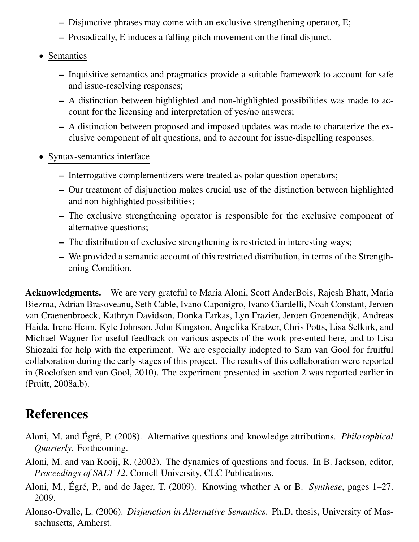- Disjunctive phrases may come with an exclusive strengthening operator, E;
- Prosodically, E induces a falling pitch movement on the final disjunct.
- Semantics
	- Inquisitive semantics and pragmatics provide a suitable framework to account for safe and issue-resolving responses;
	- A distinction between highlighted and non-highlighted possibilities was made to account for the licensing and interpretation of yes/no answers;
	- A distinction between proposed and imposed updates was made to charaterize the exclusive component of alt questions, and to account for issue-dispelling responses.
- Syntax-semantics interface
	- Interrogative complementizers were treated as polar question operators;
	- Our treatment of disjunction makes crucial use of the distinction between highlighted and non-highlighted possibilities;
	- The exclusive strengthening operator is responsible for the exclusive component of alternative questions;
	- The distribution of exclusive strengthening is restricted in interesting ways;
	- We provided a semantic account of this restricted distribution, in terms of the Strengthening Condition.

Acknowledgments. We are very grateful to Maria Aloni, Scott AnderBois, Rajesh Bhatt, Maria Biezma, Adrian Brasoveanu, Seth Cable, Ivano Caponigro, Ivano Ciardelli, Noah Constant, Jeroen van Craenenbroeck, Kathryn Davidson, Donka Farkas, Lyn Frazier, Jeroen Groenendijk, Andreas Haida, Irene Heim, Kyle Johnson, John Kingston, Angelika Kratzer, Chris Potts, Lisa Selkirk, and Michael Wagner for useful feedback on various aspects of the work presented here, and to Lisa Shiozaki for help with the experiment. We are especially indepted to Sam van Gool for fruitful collaboration during the early stages of this project. The results of this collaboration were reported in (Roelofsen and van Gool, 2010). The experiment presented in section 2 was reported earlier in (Pruitt, 2008a,b).

## References

- Aloni, M. and Égré, P. (2008). Alternative questions and knowledge attributions. *Philosophical Quarterly*. Forthcoming.
- Aloni, M. and van Rooij, R. (2002). The dynamics of questions and focus. In B. Jackson, editor, *Proceedings of SALT 12*. Cornell University, CLC Publications.
- Aloni, M., Égré, P., and de Jager, T. (2009). Knowing whether A or B. *Synthese*, pages 1–27. 2009.
- Alonso-Ovalle, L. (2006). *Disjunction in Alternative Semantics*. Ph.D. thesis, University of Massachusetts, Amherst.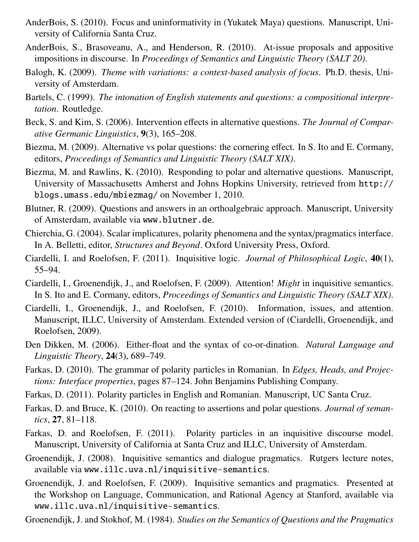- AnderBois, S. (2010). Focus and uninformativity in (Yukatek Maya) questions. Manuscript, University of California Santa Cruz.
- AnderBois, S., Brasoveanu, A., and Henderson, R. (2010). At-issue proposals and appositive impositions in discourse. In *Proceedings of Semantics and Linguistic Theory (SALT 20)*.
- Balogh, K. (2009). *Theme with variations: a context-based analysis of focus*. Ph.D. thesis, University of Amsterdam.
- Bartels, C. (1999). *The intonation of English statements and questions: a compositional interpretation*. Routledge.
- Beck, S. and Kim, S. (2006). Intervention effects in alternative questions. *The Journal of Comparative Germanic Linguistics*, 9(3), 165–208.
- Biezma, M. (2009). Alternative vs polar questions: the cornering effect. In S. Ito and E. Cormany, editors, *Proceedings of Semantics and Linguistic Theory (SALT XIX)*.
- Biezma, M. and Rawlins, K. (2010). Responding to polar and alternative questions. Manuscript, University of Massachusetts Amherst and Johns Hopkins University, retrieved from http:// blogs.umass.edu/mbiezmag/ on November 1, 2010.
- Blutner, R. (2009). Questions and answers in an orthoalgebraic approach. Manuscript, University of Amsterdam, available via www.blutner.de.
- Chierchia, G. (2004). Scalar implicatures, polarity phenomena and the syntax/pragmatics interface. In A. Belletti, editor, *Structures and Beyond*. Oxford University Press, Oxford.
- Ciardelli, I. and Roelofsen, F. (2011). Inquisitive logic. *Journal of Philosophical Logic*, 40(1), 55–94.
- Ciardelli, I., Groenendijk, J., and Roelofsen, F. (2009). Attention! *Might* in inquisitive semantics. In S. Ito and E. Cormany, editors, *Proceedings of Semantics and Linguistic Theory (SALT XIX)*.
- Ciardelli, I., Groenendijk, J., and Roelofsen, F. (2010). Information, issues, and attention. Manuscript, ILLC, University of Amsterdam. Extended version of (Ciardelli, Groenendijk, and Roelofsen, 2009).
- Den Dikken, M. (2006). Either-float and the syntax of co-or-dination. *Natural Language and Linguistic Theory*, 24(3), 689–749.
- Farkas, D. (2010). The grammar of polarity particles in Romanian. In *Edges, Heads, and Projections: Interface properties*, pages 87–124. John Benjamins Publishing Company.
- Farkas, D. (2011). Polarity particles in English and Romanian. Manuscript, UC Santa Cruz.
- Farkas, D. and Bruce, K. (2010). On reacting to assertions and polar questions. *Journal of semantics*, 27, 81–118.
- Farkas, D. and Roelofsen, F. (2011). Polarity particles in an inquisitive discourse model. Manuscript, University of California at Santa Cruz and ILLC, University of Amsterdam.
- Groenendijk, J. (2008). Inquisitive semantics and dialogue pragmatics. Rutgers lecture notes, available via www.illc.uva.nl/inquisitive-semantics.
- Groenendijk, J. and Roelofsen, F. (2009). Inquisitive semantics and pragmatics. Presented at the Workshop on Language, Communication, and Rational Agency at Stanford, available via www.illc.uva.nl/inquisitive-semantics.
- Groenendijk, J. and Stokhof, M. (1984). *Studies on the Semantics of Questions and the Pragmatics*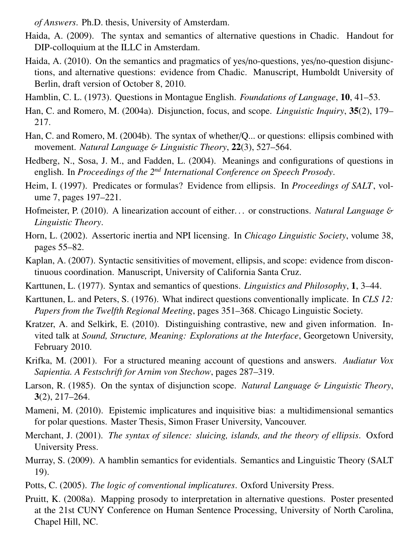*of Answers*. Ph.D. thesis, University of Amsterdam.

- Haida, A. (2009). The syntax and semantics of alternative questions in Chadic. Handout for DIP-colloquium at the ILLC in Amsterdam.
- Haida, A. (2010). On the semantics and pragmatics of yes/no-questions, yes/no-question disjunctions, and alternative questions: evidence from Chadic. Manuscript, Humboldt University of Berlin, draft version of October 8, 2010.
- Hamblin, C. L. (1973). Questions in Montague English. *Foundations of Language*, 10, 41–53.
- Han, C. and Romero, M. (2004a). Disjunction, focus, and scope. *Linguistic Inquiry*, 35(2), 179– 217.
- Han, C. and Romero, M. (2004b). The syntax of whether/Q... or questions: ellipsis combined with movement. *Natural Language* & *Linguistic Theory*, 22(3), 527–564.
- Hedberg, N., Sosa, J. M., and Fadden, L. (2004). Meanings and configurations of questions in english. In *Proceedings of the 2nd International Conference on Speech Prosody*.
- Heim, I. (1997). Predicates or formulas? Evidence from ellipsis. In *Proceedings of SALT*, volume 7, pages 197–221.
- Hofmeister, P. (2010). A linearization account of either. . . or constructions. *Natural Language* & *Linguistic Theory*.
- Horn, L. (2002). Assertoric inertia and NPI licensing. In *Chicago Linguistic Society*, volume 38, pages 55–82.
- Kaplan, A. (2007). Syntactic sensitivities of movement, ellipsis, and scope: evidence from discontinuous coordination. Manuscript, University of California Santa Cruz.
- Karttunen, L. (1977). Syntax and semantics of questions. *Linguistics and Philosophy*, 1, 3–44.
- Karttunen, L. and Peters, S. (1976). What indirect questions conventionally implicate. In *CLS 12: Papers from the Twelfth Regional Meeting*, pages 351–368. Chicago Linguistic Society.
- Kratzer, A. and Selkirk, E. (2010). Distinguishing contrastive, new and given information. Invited talk at *Sound, Structure, Meaning: Explorations at the Interface*, Georgetown University, February 2010.
- Krifka, M. (2001). For a structured meaning account of questions and answers. *Audiatur Vox Sapientia. A Festschrift for Arnim von Stechow*, pages 287–319.
- Larson, R. (1985). On the syntax of disjunction scope. *Natural Language* & *Linguistic Theory*, 3(2), 217–264.
- Mameni, M. (2010). Epistemic implicatures and inquisitive bias: a multidimensional semantics for polar questions. Master Thesis, Simon Fraser University, Vancouver.
- Merchant, J. (2001). *The syntax of silence: sluicing, islands, and the theory of ellipsis*. Oxford University Press.
- Murray, S. (2009). A hamblin semantics for evidentials. Semantics and Linguistic Theory (SALT 19).
- Potts, C. (2005). *The logic of conventional implicatures*. Oxford University Press.
- Pruitt, K. (2008a). Mapping prosody to interpretation in alternative questions. Poster presented at the 21st CUNY Conference on Human Sentence Processing, University of North Carolina, Chapel Hill, NC.